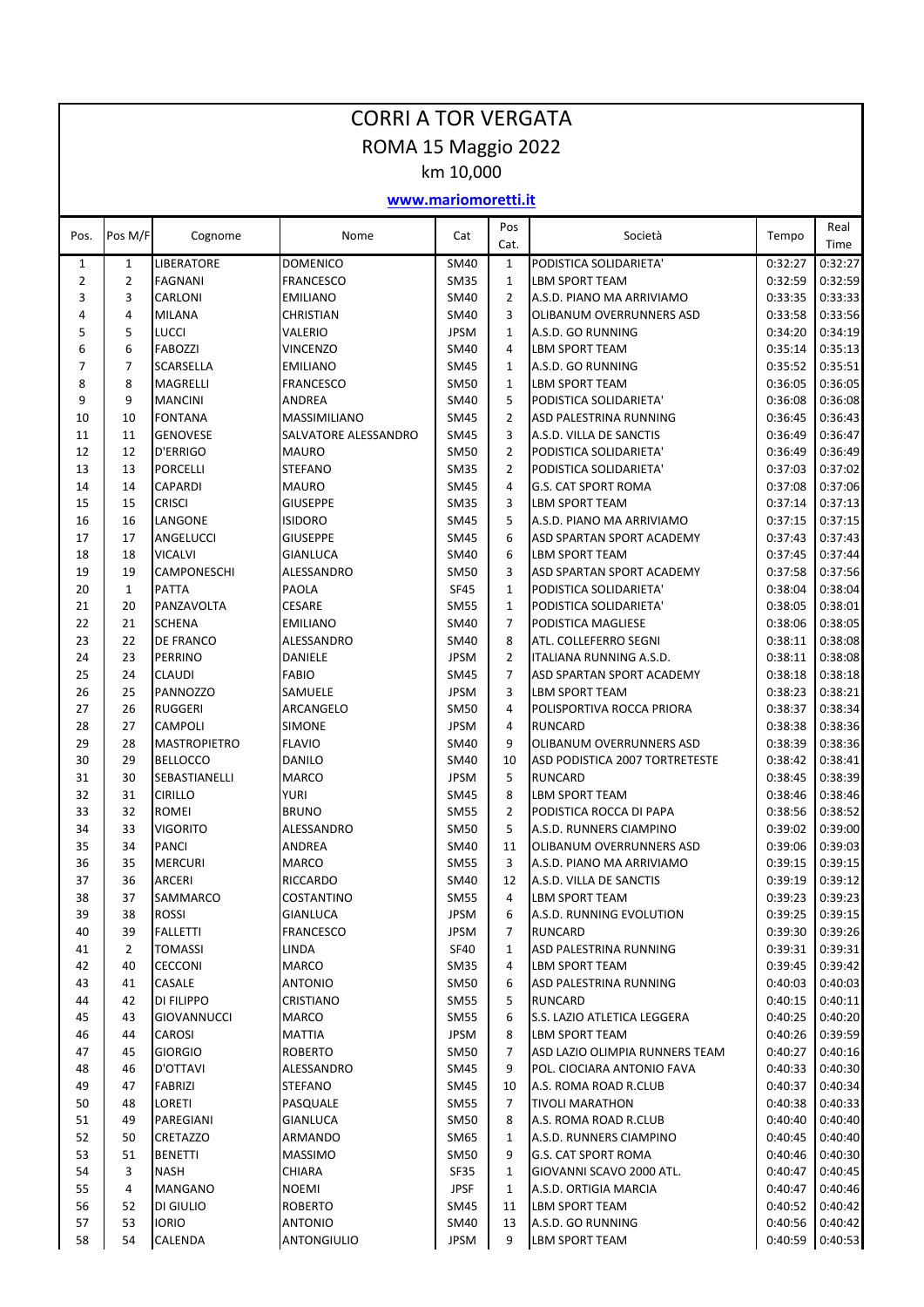|                     | <b>CORRI A TOR VERGATA</b> |                                        |                             |                            |                |                                                            |                    |                    |  |  |  |
|---------------------|----------------------------|----------------------------------------|-----------------------------|----------------------------|----------------|------------------------------------------------------------|--------------------|--------------------|--|--|--|
|                     | ROMA 15 Maggio 2022        |                                        |                             |                            |                |                                                            |                    |                    |  |  |  |
|                     |                            |                                        |                             | km 10,000                  |                |                                                            |                    |                    |  |  |  |
| www.mariomoretti.it |                            |                                        |                             |                            |                |                                                            |                    |                    |  |  |  |
| Pos.                | Pos M/F                    | Cognome                                | Nome                        | Cat                        | Pos<br>Cat.    | Società                                                    | Tempo              | Real<br>Time       |  |  |  |
| $\mathbf{1}$        | $\mathbf{1}$               | <b>LIBERATORE</b>                      | <b>DOMENICO</b>             | SM40                       | $\mathbf{1}$   | PODISTICA SOLIDARIETA'                                     | 0:32:27            | 0:32:27            |  |  |  |
| $\overline{2}$      | $\overline{2}$             | <b>FAGNANI</b>                         | FRANCESCO                   | <b>SM35</b>                | 1              | LBM SPORT TEAM                                             | 0:32:59            | 0:32:59            |  |  |  |
| 3<br>4              | 3<br>4                     | CARLONI                                | <b>EMILIANO</b>             | <b>SM40</b>                | 2<br>3         | A.S.D. PIANO MA ARRIVIAMO                                  | 0:33:35            | 0:33:33            |  |  |  |
| 5                   | 5                          | <b>MILANA</b><br>LUCCI                 | <b>CHRISTIAN</b><br>VALERIO | <b>SM40</b><br><b>JPSM</b> | 1              | OLIBANUM OVERRUNNERS ASD<br>A.S.D. GO RUNNING              | 0:33:58<br>0:34:20 | 0:33:56<br>0:34:19 |  |  |  |
| 6                   | 6                          | <b>FABOZZI</b>                         | VINCENZO                    | SM40                       | 4              | <b>LBM SPORT TEAM</b>                                      | 0:35:14            | 0:35:13            |  |  |  |
| 7                   | 7                          | SCARSELLA                              | <b>EMILIANO</b>             | <b>SM45</b>                | $\mathbf{1}$   | A.S.D. GO RUNNING                                          | 0:35:52            | 0:35:51            |  |  |  |
| 8                   | 8                          | MAGRELLI                               | FRANCESCO                   | <b>SM50</b>                | 1              | LBM SPORT TEAM                                             | 0:36:05            | 0:36:05            |  |  |  |
| 9                   | 9                          | <b>MANCINI</b>                         | ANDREA                      | <b>SM40</b>                | 5              | PODISTICA SOLIDARIETA'                                     | 0:36:08            | 0:36:08            |  |  |  |
| 10                  | 10                         | <b>FONTANA</b>                         | <b>MASSIMILIANO</b>         | <b>SM45</b>                | 2              | <b>ASD PALESTRINA RUNNING</b>                              | 0:36:45            | 0:36:43            |  |  |  |
| 11                  | 11                         | <b>GENOVESE</b>                        | SALVATORE ALESSANDRO        | <b>SM45</b>                | 3              | A.S.D. VILLA DE SANCTIS                                    | 0:36:49            | 0:36:47            |  |  |  |
| 12                  | 12                         | D'ERRIGO                               | <b>MAURO</b>                | <b>SM50</b>                | $\overline{2}$ | PODISTICA SOLIDARIETA'                                     | 0:36:49            | 0:36:49            |  |  |  |
| 13                  | 13                         | <b>PORCELLI</b>                        | STEFANO                     | <b>SM35</b>                | 2              | PODISTICA SOLIDARIETA'                                     | 0:37:03            | 0:37:02            |  |  |  |
| 14                  | 14                         | CAPARDI                                | <b>MAURO</b>                | <b>SM45</b>                | 4              | <b>G.S. CAT SPORT ROMA</b>                                 | 0:37:08            | 0:37:06            |  |  |  |
| 15                  | 15                         | <b>CRISCI</b>                          | <b>GIUSEPPE</b>             | <b>SM35</b>                | 3              | <b>LBM SPORT TEAM</b>                                      | 0:37:14            | 0:37:13            |  |  |  |
| 16<br>17            | 16<br>17                   | LANGONE<br>ANGELUCCI                   | <b>ISIDORO</b><br>GIUSEPPE  | <b>SM45</b><br><b>SM45</b> | 5<br>6         | A.S.D. PIANO MA ARRIVIAMO<br>ASD SPARTAN SPORT ACADEMY     | 0:37:15<br>0:37:43 | 0:37:15<br>0:37:43 |  |  |  |
| 18                  | 18                         | <b>VICALVI</b>                         | GIANLUCA                    | <b>SM40</b>                | 6              | LBM SPORT TEAM                                             | 0:37:45            | 0:37:44            |  |  |  |
| 19                  | 19                         | CAMPONESCHI                            | ALESSANDRO                  | <b>SM50</b>                | 3              | ASD SPARTAN SPORT ACADEMY                                  | 0:37:58            | 0:37:56            |  |  |  |
| 20                  | $\mathbf{1}$               | PATTA                                  | PAOLA                       | <b>SF45</b>                | $\mathbf{1}$   | PODISTICA SOLIDARIETA'                                     | 0:38:04            | 0:38:04            |  |  |  |
| 21                  | 20                         | PANZAVOLTA                             | <b>CESARE</b>               | <b>SM55</b>                | $\mathbf{1}$   | PODISTICA SOLIDARIETA'                                     | 0:38:05            | 0:38:01            |  |  |  |
| 22                  | 21                         | <b>SCHENA</b>                          | <b>EMILIANO</b>             | <b>SM40</b>                | 7              | PODISTICA MAGLIESE                                         | 0:38:06            | 0:38:05            |  |  |  |
| 23                  | 22                         | DE FRANCO                              | ALESSANDRO                  | SM40                       | 8              | ATL. COLLEFERRO SEGNI                                      | 0:38:11            | 0:38:08            |  |  |  |
| 24                  | 23                         | PERRINO                                | DANIELE                     | <b>JPSM</b>                | 2              | ITALIANA RUNNING A.S.D.                                    | 0:38:11            | 0:38:08            |  |  |  |
| 25                  | 24                         | <b>CLAUDI</b>                          | <b>FABIO</b>                | <b>SM45</b>                | $\overline{7}$ | ASD SPARTAN SPORT ACADEMY                                  | 0:38:18            | 0:38:18            |  |  |  |
| 26                  | 25                         | PANNOZZO                               | SAMUELE                     | <b>JPSM</b>                | 3              | <b>LBM SPORT TEAM</b>                                      | 0:38:23            | 0:38:21            |  |  |  |
| 27                  | 26                         | <b>RUGGERI</b>                         | ARCANGELO                   | <b>SM50</b>                | 4              | POLISPORTIVA ROCCA PRIORA                                  | 0:38:37            | 0:38:34            |  |  |  |
| 28                  | 27                         | CAMPOLI                                | <b>SIMONE</b>               | <b>JPSM</b>                | 4              | <b>RUNCARD</b>                                             | 0:38:38            | 0:38:36            |  |  |  |
| 29<br>30            | 28<br>29                   | <b>MASTROPIETRO</b><br><b>BELLOCCO</b> | <b>FLAVIO</b><br>DANILO     | SM40<br>SM40               | 9<br>10        | OLIBANUM OVERRUNNERS ASD<br>ASD PODISTICA 2007 TORTRETESTE | 0:38:39<br>0:38:42 | 0:38:36<br>0:38:41 |  |  |  |
| 31                  | 30                         | SEBASTIANELLI                          | <b>MARCO</b>                | <b>JPSM</b>                | 5              | <b>RUNCARD</b>                                             | 0:38:45            | 0:38:39            |  |  |  |
| 32                  | 31                         | <b>CIRILLO</b>                         | <b>YURI</b>                 | $\textsf{SM45}$            | 8              | <b>LBM SPORT TEAM</b>                                      |                    | 0:38:46 0:38:46    |  |  |  |
| 33                  | 32                         | ROMEI                                  | <b>BRUNO</b>                | <b>SM55</b>                | 2              | PODISTICA ROCCA DI PAPA                                    | 0:38:56            | 0:38:52            |  |  |  |
| 34                  | 33                         | <b>VIGORITO</b>                        | ALESSANDRO                  | SM50                       | 5              | A.S.D. RUNNERS CIAMPINO                                    | 0:39:02            | 0:39:00            |  |  |  |
| 35                  | 34                         | <b>PANCI</b>                           | ANDREA                      | SM40                       | 11             | OLIBANUM OVERRUNNERS ASD                                   | 0:39:06            | 0:39:03            |  |  |  |
| 36                  | 35                         | <b>MERCURI</b>                         | <b>MARCO</b>                | <b>SM55</b>                | 3              | A.S.D. PIANO MA ARRIVIAMO                                  | 0:39:15            | 0:39:15            |  |  |  |
| 37                  | 36                         | <b>ARCERI</b>                          | <b>RICCARDO</b>             | SM40                       | 12             | A.S.D. VILLA DE SANCTIS                                    | 0:39:19            | 0:39:12            |  |  |  |
| 38                  | 37                         | SAMMARCO                               | COSTANTINO                  | <b>SM55</b>                | 4              | <b>LBM SPORT TEAM</b>                                      | 0:39:23            | 0:39:23            |  |  |  |
| 39                  | 38                         | <b>ROSSI</b>                           | GIANLUCA                    | <b>JPSM</b>                | 6              | A.S.D. RUNNING EVOLUTION                                   | 0:39:25            | 0:39:15            |  |  |  |
| 40                  | 39                         | <b>FALLETTI</b>                        | FRANCESCO                   | <b>JPSM</b>                | 7              | <b>RUNCARD</b>                                             | 0:39:30            | 0:39:26            |  |  |  |
| 41                  | $\overline{2}$             | <b>TOMASSI</b>                         | LINDA<br>MARCO              | <b>SF40</b><br><b>SM35</b> | 1              | ASD PALESTRINA RUNNING                                     | 0:39:31<br>0:39:45 | 0:39:31<br>0:39:42 |  |  |  |
| 42<br>43            | 40<br>41                   | <b>CECCONI</b><br>CASALE               | ANTONIO                     | <b>SM50</b>                | 4<br>6         | LBM SPORT TEAM<br>ASD PALESTRINA RUNNING                   | 0:40:03            | 0:40:03            |  |  |  |
| 44                  | 42                         | DI FILIPPO                             | CRISTIANO                   | <b>SM55</b>                | 5              | <b>RUNCARD</b>                                             | 0:40:15            | 0:40:11            |  |  |  |
| 45                  | 43                         | <b>GIOVANNUCCI</b>                     | MARCO                       | <b>SM55</b>                | 6              | S.S. LAZIO ATLETICA LEGGERA                                | 0:40:25            | 0:40:20            |  |  |  |
| 46                  | 44                         | CAROSI                                 | MATTIA                      | <b>JPSM</b>                | 8              | <b>LBM SPORT TEAM</b>                                      | 0:40:26            | 0:39:59            |  |  |  |
| 47                  | 45                         | <b>GIORGIO</b>                         | <b>ROBERTO</b>              | <b>SM50</b>                | 7              | ASD LAZIO OLIMPIA RUNNERS TEAM                             | 0:40:27            | 0:40:16            |  |  |  |
| 48                  | 46                         | D'OTTAVI                               | ALESSANDRO                  | <b>SM45</b>                | 9              | POL. CIOCIARA ANTONIO FAVA                                 | 0:40:33            | 0:40:30            |  |  |  |
| 49                  | 47                         | FABRIZI                                | STEFANO                     | SM45                       | 10             | A.S. ROMA ROAD R.CLUB                                      | 0:40:37            | 0:40:34            |  |  |  |
| 50                  | 48                         | LORETI                                 | PASQUALE                    | <b>SM55</b>                | 7              | <b>TIVOLI MARATHON</b>                                     | 0:40:38            | 0:40:33            |  |  |  |
| 51                  | 49                         | PAREGIANI                              | GIANLUCA                    | <b>SM50</b>                | 8              | A.S. ROMA ROAD R.CLUB                                      | 0:40:40            | 0:40:40            |  |  |  |
| 52                  | 50                         | CRETAZZO                               | ARMANDO                     | SM65                       | 1              | A.S.D. RUNNERS CIAMPINO                                    | 0:40:45            | 0:40:40            |  |  |  |
| 53                  | 51                         | <b>BENETTI</b>                         | <b>MASSIMO</b>              | <b>SM50</b>                | 9              | G.S. CAT SPORT ROMA                                        | 0:40:46            | 0:40:30            |  |  |  |
| 54<br>55            | 3<br>4                     | NASH<br>MANGANO                        | CHIARA<br>NOEMI             | <b>SF35</b><br><b>JPSF</b> | 1<br>1         | GIOVANNI SCAVO 2000 ATL.<br>A.S.D. ORTIGIA MARCIA          | 0:40:47<br>0:40:47 | 0:40:45<br>0:40:46 |  |  |  |
| 56                  | 52                         | DI GIULIO                              | <b>ROBERTO</b>              | <b>SM45</b>                | 11             | <b>LBM SPORT TEAM</b>                                      | 0:40:52            | 0:40:42            |  |  |  |
| 57                  | 53                         | <b>IORIO</b>                           | ANTONIO                     | <b>SM40</b>                | 13             | A.S.D. GO RUNNING                                          | 0:40:56            | 0:40:42            |  |  |  |
| 58                  | 54                         | CALENDA                                | ANTONGIULIO                 | <b>JPSM</b>                | 9              | <b>LBM SPORT TEAM</b>                                      | 0:40:59            | 0:40:53            |  |  |  |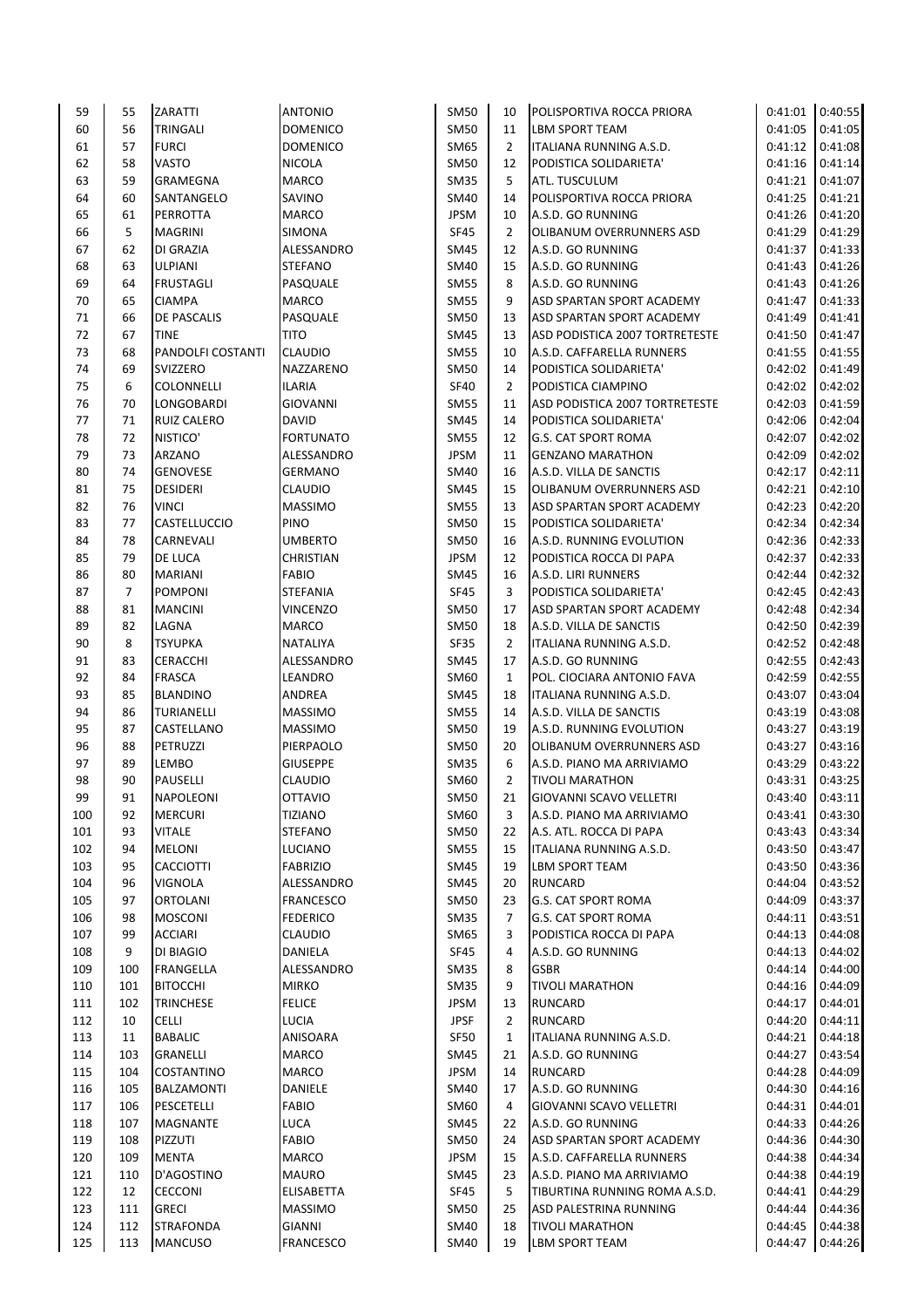| 59  | 55  | ZARATTI            | <b>ANTONIO</b>   | SM50        | 10             | POLISPORTIVA ROCCA PRIORA        | 0:41:01           | 0:40:55 |
|-----|-----|--------------------|------------------|-------------|----------------|----------------------------------|-------------------|---------|
| 60  | 56  | TRINGALI           | <b>DOMENICO</b>  | <b>SM50</b> | 11             | <b>LBM SPORT TEAM</b>            | 0:41:05           | 0:41:05 |
| 61  | 57  | <b>FURCI</b>       | <b>DOMENICO</b>  | SM65        | $\overline{2}$ | ITALIANA RUNNING A.S.D.          | 0:41:12           | 0:41:08 |
| 62  | 58  | VASTO              | <b>NICOLA</b>    | SM50        | 12             | PODISTICA SOLIDARIETA'           | 0:41:16           | 0:41:14 |
| 63  | 59  | GRAMEGNA           | MARCO            | <b>SM35</b> | 5              | ATL. TUSCULUM                    | 0:41:21           | 0:41:07 |
| 64  | 60  | SANTANGELO         | SAVINO           | SM40        | 14             | POLISPORTIVA ROCCA PRIORA        | 0:41:25           | 0:41:21 |
| 65  | 61  | PERROTTA           | <b>MARCO</b>     | <b>JPSM</b> | 10             | A.S.D. GO RUNNING                | 0:41:26           | 0:41:20 |
| 66  | 5   |                    |                  | <b>SF45</b> | $\overline{2}$ |                                  | 0:41:29           | 0:41:29 |
|     |     | <b>MAGRINI</b>     | SIMONA           |             |                | OLIBANUM OVERRUNNERS ASD         |                   |         |
| 67  | 62  | DI GRAZIA          | ALESSANDRO       | SM45        | 12             | A.S.D. GO RUNNING                | 0:41:37           | 0:41:33 |
| 68  | 63  | <b>ULPIANI</b>     | <b>STEFANO</b>   | SM40        | 15             | A.S.D. GO RUNNING                | 0:41:43           | 0:41:26 |
| 69  | 64  | <b>FRUSTAGLI</b>   | PASQUALE         | <b>SM55</b> | 8              | A.S.D. GO RUNNING                | 0:41:43           | 0:41:26 |
| 70  | 65  | <b>CIAMPA</b>      | <b>MARCO</b>     | <b>SM55</b> | 9              | ASD SPARTAN SPORT ACADEMY        | 0:41:47           | 0:41:33 |
| 71  | 66  | DE PASCALIS        | PASQUALE         | <b>SM50</b> | 13             | ASD SPARTAN SPORT ACADEMY        | 0:41:49           | 0:41:41 |
| 72  | 67  | <b>TINE</b>        | TITO             | <b>SM45</b> | 13             | ASD PODISTICA 2007 TORTRETESTE   | 0:41:50           | 0:41:47 |
| 73  | 68  | PANDOLFI COSTANTI  | <b>CLAUDIO</b>   | <b>SM55</b> | 10             | A.S.D. CAFFARELLA RUNNERS        | 0:41:55           | 0:41:55 |
| 74  | 69  | SVIZZERO           | NAZZARENO        | <b>SM50</b> | 14             | PODISTICA SOLIDARIETA'           | 0:42:02           | 0:41:49 |
| 75  | 6   | COLONNELLI         | ILARIA           | SF40        | 2              | PODISTICA CIAMPINO               | 0:42:02           | 0:42:02 |
| 76  | 70  | LONGOBARDI         | <b>GIOVANNI</b>  | <b>SM55</b> | 11             | ASD PODISTICA 2007 TORTRETESTE   | 0:42:03           | 0:41:59 |
| 77  | 71  | <b>RUIZ CALERO</b> | <b>DAVID</b>     | SM45        | 14             | PODISTICA SOLIDARIETA'           | 0:42:06           | 0:42:04 |
| 78  | 72  | NISTICO'           | <b>FORTUNATO</b> | SM55        | 12             | <b>G.S. CAT SPORT ROMA</b>       | 0:42:07           | 0:42:02 |
| 79  | 73  | ARZANO             | ALESSANDRO       | <b>JPSM</b> | 11             | <b>GENZANO MARATHON</b>          | 0:42:09           | 0:42:02 |
|     |     |                    |                  |             |                |                                  |                   | 0:42:11 |
| 80  | 74  | <b>GENOVESE</b>    | <b>GERMANO</b>   | SM40        | 16             | A.S.D. VILLA DE SANCTIS          | 0:42:17           |         |
| 81  | 75  | <b>DESIDERI</b>    | <b>CLAUDIO</b>   | SM45        | 15             | OLIBANUM OVERRUNNERS ASD         | 0:42:21           | 0:42:10 |
| 82  | 76  | VINCI              | <b>MASSIMO</b>   | <b>SM55</b> | 13             | <b>ASD SPARTAN SPORT ACADEMY</b> | 0:42:23           | 0:42:20 |
| 83  | 77  | CASTELLUCCIO       | <b>PINO</b>      | SM50        | 15             | PODISTICA SOLIDARIETA'           | 0:42:34           | 0:42:34 |
| 84  | 78  | CARNEVALI          | <b>UMBERTO</b>   | <b>SM50</b> | 16             | A.S.D. RUNNING EVOLUTION         | 0:42:36           | 0:42:33 |
| 85  | 79  | DE LUCA            | <b>CHRISTIAN</b> | <b>JPSM</b> | 12             | PODISTICA ROCCA DI PAPA          | 0:42:37           | 0:42:33 |
| 86  | 80  | <b>MARIANI</b>     | <b>FABIO</b>     | SM45        | 16             | A.S.D. LIRI RUNNERS              | 0:42:44           | 0:42:32 |
| 87  | 7   | <b>POMPONI</b>     | <b>STEFANIA</b>  | SF45        | 3              | PODISTICA SOLIDARIETA'           | 0:42:45           | 0:42:43 |
| 88  | 81  | <b>MANCINI</b>     | <b>VINCENZO</b>  | <b>SM50</b> | 17             | ASD SPARTAN SPORT ACADEMY        | 0:42:48           | 0:42:34 |
| 89  | 82  | LAGNA              | <b>MARCO</b>     | SM50        | 18             | A.S.D. VILLA DE SANCTIS          | 0:42:50           | 0:42:39 |
| 90  | 8   | <b>TSYUPKA</b>     | <b>NATALIYA</b>  | SF35        | $\overline{2}$ | ITALIANA RUNNING A.S.D.          | 0:42:52           | 0:42:48 |
| 91  | 83  | <b>CERACCHI</b>    | ALESSANDRO       | SM45        | 17             | A.S.D. GO RUNNING                | 0:42:55           | 0:42:43 |
| 92  | 84  | <b>FRASCA</b>      | LEANDRO          | SM60        | $\mathbf{1}$   | POL. CIOCIARA ANTONIO FAVA       | 0:42:59           | 0:42:55 |
|     |     |                    |                  |             |                |                                  |                   |         |
| 93  | 85  | <b>BLANDINO</b>    | ANDREA           | SM45        | 18             | ITALIANA RUNNING A.S.D.          | 0:43:07           | 0:43:04 |
| 94  | 86  | TURIANELLI         | <b>MASSIMO</b>   | <b>SM55</b> | 14             | A.S.D. VILLA DE SANCTIS          | 0:43:19           | 0:43:08 |
| 95  | 87  | CASTELLANO         | <b>MASSIMO</b>   | <b>SM50</b> | 19             | A.S.D. RUNNING EVOLUTION         | 0:43:27           | 0:43:19 |
| 96  | 88  | <b>PETRUZZI</b>    | PIERPAOLO        | <b>SM50</b> | 20             | OLIBANUM OVERRUNNERS ASD         | 0:43:27           | 0:43:16 |
| 97  | 89  | LEMBO              | <b>GIUSEPPE</b>  | SM35        | 6              | A.S.D. PIANO MA ARRIVIAMO        | 0:43:29           | 0:43:22 |
| 98  | 90  | <b>PAUSELLI</b>    | <b>CLAUDIO</b>   | SM60        | $\overline{2}$ | <b>TIVOLI MARATHON</b>           | 0:43:31           | 0:43:25 |
| 99  | 91  | <b>NAPOLEONI</b>   | <b>OTTAVIO</b>   | <b>SM50</b> | 21             | GIOVANNI SCAVO VELLETRI          | $0:43:40$ 0:43:11 |         |
| 100 | 92  | <b>MERCURI</b>     | <b>TIZIANO</b>   | SM60        | 3              | A.S.D. PIANO MA ARRIVIAMO        | 0:43:41           | 0:43:30 |
| 101 | 93  | <b>VITALE</b>      | <b>STEFANO</b>   | <b>SM50</b> | 22             | A.S. ATL. ROCCA DI PAPA          | 0:43:43           | 0:43:34 |
| 102 | 94  | MELONI             | <b>LUCIANO</b>   | <b>SM55</b> | 15             | ITALIANA RUNNING A.S.D.          | 0:43:50           | 0:43:47 |
| 103 | 95  | <b>CACCIOTTI</b>   | <b>FABRIZIO</b>  | SM45        | 19             | LBM SPORT TEAM                   | 0:43:50           | 0:43:36 |
| 104 | 96  | VIGNOLA            | ALESSANDRO       | SM45        | 20             | <b>RUNCARD</b>                   | 0:44:04           | 0:43:52 |
| 105 | 97  | ORTOLANI           | <b>FRANCESCO</b> | SM50        | 23             | <b>G.S. CAT SPORT ROMA</b>       | 0:44:09           | 0:43:37 |
|     |     |                    |                  |             |                | <b>G.S. CAT SPORT ROMA</b>       |                   |         |
| 106 | 98  | MOSCONI            | <b>FEDERICO</b>  | SM35        | 7              |                                  | 0:44:11           | 0:43:51 |
| 107 | 99  | <b>ACCIARI</b>     | CLAUDIO          | SM65        | 3              | PODISTICA ROCCA DI PAPA          | 0:44:13           | 0:44:08 |
| 108 | 9   | DI BIAGIO          | DANIELA          | SF45        | 4              | A.S.D. GO RUNNING                | 0:44:13           | 0:44:02 |
| 109 | 100 | FRANGELLA          | ALESSANDRO       | SM35        | 8              | <b>GSBR</b>                      | 0:44:14           | 0:44:00 |
| 110 | 101 | <b>BITOCCHI</b>    | <b>MIRKO</b>     | SM35        | 9              | <b>TIVOLI MARATHON</b>           | 0:44:16           | 0:44:09 |
| 111 | 102 | <b>TRINCHESE</b>   | <b>FELICE</b>    | JPSM        | 13             | <b>RUNCARD</b>                   | 0:44:17           | 0:44:01 |
| 112 | 10  | <b>CELLI</b>       | LUCIA            | <b>JPSF</b> | 2              | <b>RUNCARD</b>                   | 0:44:20           | 0:44:11 |
| 113 | 11  | <b>BABALIC</b>     | ANISOARA         | <b>SF50</b> | 1              | ITALIANA RUNNING A.S.D.          | 0:44:21           | 0:44:18 |
| 114 | 103 | GRANELLI           | MARCO            | SM45        | 21             | A.S.D. GO RUNNING                | 0:44:27           | 0:43:54 |
| 115 | 104 | <b>COSTANTINO</b>  | MARCO            | <b>JPSM</b> | 14             | <b>RUNCARD</b>                   | 0:44:28           | 0:44:09 |
| 116 | 105 | BALZAMONTI         | DANIELE          | SM40        | 17             | A.S.D. GO RUNNING                | 0:44:30           | 0:44:16 |
| 117 | 106 | PESCETELLI         | <b>FABIO</b>     | SM60        | 4              | <b>GIOVANNI SCAVO VELLETRI</b>   | 0:44:31           | 0:44:01 |
|     |     |                    |                  |             |                |                                  |                   |         |
| 118 | 107 | MAGNANTE           | LUCA             | SM45        | 22             | A.S.D. GO RUNNING                | 0:44:33           | 0:44:26 |
| 119 | 108 | PIZZUTI            | FABIO            | SM50        | 24             | ASD SPARTAN SPORT ACADEMY        | 0:44:36           | 0:44:30 |
| 120 | 109 | <b>MENTA</b>       | MARCO            | <b>JPSM</b> | 15             | A.S.D. CAFFARELLA RUNNERS        | 0:44:38           | 0:44:34 |
| 121 | 110 | D'AGOSTINO         | MAURO            | SM45        | 23             | A.S.D. PIANO MA ARRIVIAMO        | 0:44:38           | 0:44:19 |
| 122 | 12  | <b>CECCONI</b>     | ELISABETTA       | SF45        | 5              | TIBURTINA RUNNING ROMA A.S.D.    | 0:44:41           | 0:44:29 |
| 123 | 111 | <b>GRECI</b>       | <b>MASSIMO</b>   | SM50        | 25             | ASD PALESTRINA RUNNING           | 0:44:44           | 0:44:36 |
| 124 | 112 | <b>STRAFONDA</b>   | <b>GIANNI</b>    | SM40        | 18             | <b>TIVOLI MARATHON</b>           | 0:44:45           | 0:44:38 |
| 125 | 113 | <b>MANCUSO</b>     | FRANCESCO        | SM40        | 19             | <b>LBM SPORT TEAM</b>            | 0:44:47           | 0:44:26 |
|     |     |                    |                  |             |                |                                  |                   |         |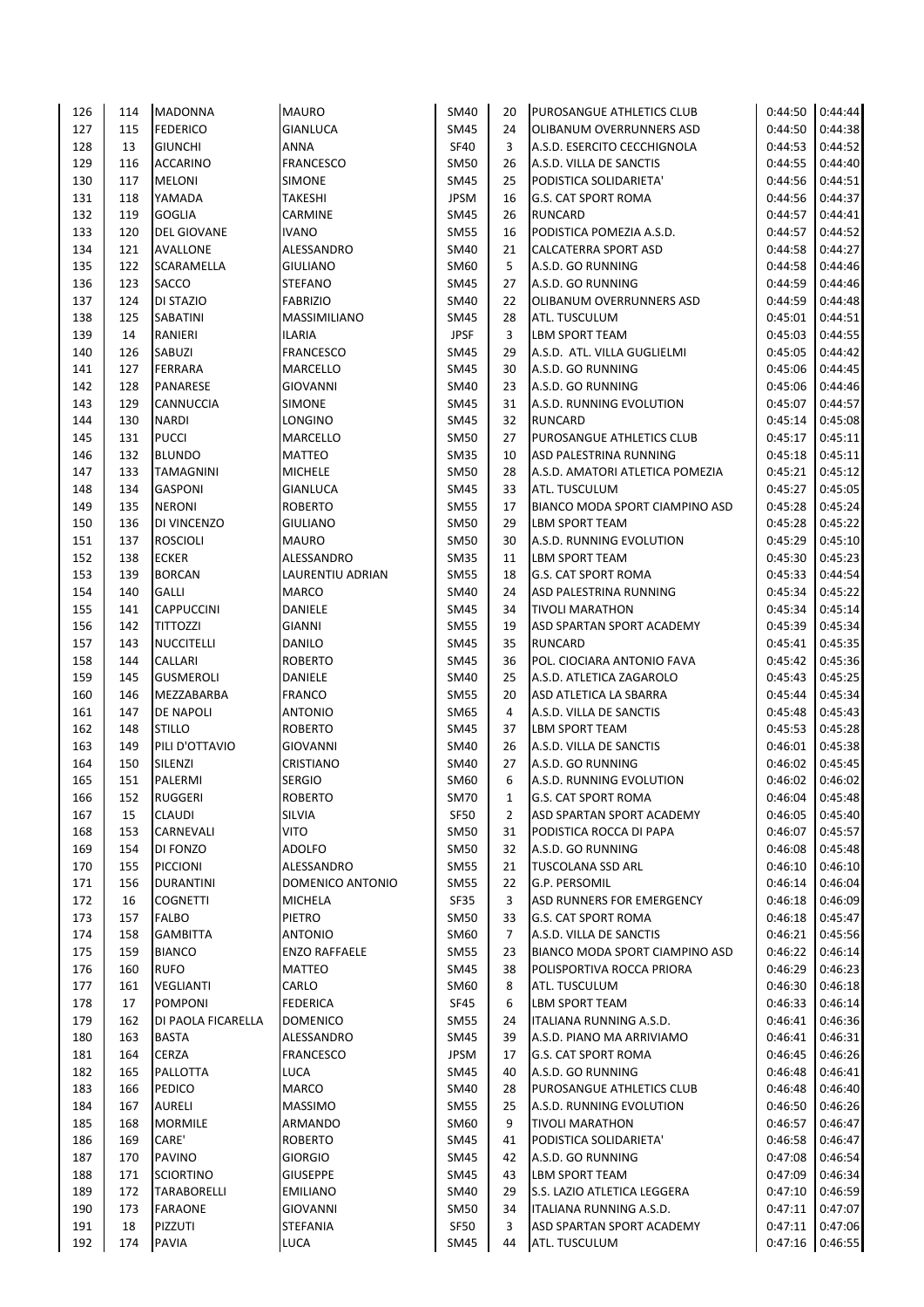| 126 | 114 | <b>MADONNA</b>     | <b>MAURO</b>          | SM40        | 20 | PUROSANGUE ATHLETICS CLUB       | 0:44:50            | 0:44:44 |
|-----|-----|--------------------|-----------------------|-------------|----|---------------------------------|--------------------|---------|
| 127 | 115 | <b>FEDERICO</b>    | <b>GIANLUCA</b>       | <b>SM45</b> | 24 | OLIBANUM OVERRUNNERS ASD        | 0:44:50            | 0:44:38 |
| 128 | 13  | <b>GIUNCHI</b>     | ANNA                  | <b>SF40</b> | 3  | A.S.D. ESERCITO CECCHIGNOLA     | 0:44:53            | 0:44:52 |
| 129 | 116 | <b>ACCARINO</b>    | <b>FRANCESCO</b>      | <b>SM50</b> | 26 | A.S.D. VILLA DE SANCTIS         | 0:44:55            | 0:44:40 |
| 130 | 117 | <b>MELONI</b>      | <b>SIMONE</b>         | SM45        | 25 | PODISTICA SOLIDARIETA'          | 0:44:56            | 0:44:51 |
| 131 | 118 | YAMADA             | TAKESHI               | <b>JPSM</b> | 16 | <b>G.S. CAT SPORT ROMA</b>      | 0:44:56            | 0:44:37 |
| 132 | 119 | <b>GOGLIA</b>      | <b>CARMINE</b>        | <b>SM45</b> | 26 | <b>RUNCARD</b>                  | 0:44:57            | 0:44:41 |
| 133 | 120 | <b>DEL GIOVANE</b> | <b>IVANO</b>          | <b>SM55</b> | 16 | PODISTICA POMEZIA A.S.D.        | 0:44:57            | 0:44:52 |
| 134 | 121 | AVALLONE           | ALESSANDRO            | SM40        | 21 | CALCATERRA SPORT ASD            | 0:44:58            | 0:44:27 |
| 135 | 122 | SCARAMELLA         | <b>GIULIANO</b>       | SM60        | 5  | A.S.D. GO RUNNING               | 0:44:58            | 0:44:46 |
| 136 | 123 | SACCO              | <b>STEFANO</b>        | SM45        | 27 | A.S.D. GO RUNNING               | 0:44:59            | 0:44:46 |
| 137 | 124 | DI STAZIO          | <b>FABRIZIO</b>       | SM40        | 22 | OLIBANUM OVERRUNNERS ASD        | 0:44:59            | 0:44:48 |
| 138 | 125 | SABATINI           | MASSIMILIANO          | <b>SM45</b> | 28 | ATL. TUSCULUM                   | 0:45:01            | 0:44:51 |
| 139 | 14  | RANIERI            | <b>ILARIA</b>         | <b>JPSF</b> | 3  | LBM SPORT TEAM                  | 0:45:03            | 0:44:55 |
| 140 | 126 | SABUZI             | <b>FRANCESCO</b>      | <b>SM45</b> | 29 | A.S.D. ATL. VILLA GUGLIELMI     | 0:45:05            | 0:44:42 |
| 141 | 127 | FERRARA            | MARCELLO              | <b>SM45</b> | 30 | A.S.D. GO RUNNING               | 0:45:06            | 0:44:45 |
| 142 | 128 | PANARESE           | <b>GIOVANNI</b>       | SM40        | 23 | A.S.D. GO RUNNING               | 0:45:06            | 0:44:46 |
| 143 | 129 | CANNUCCIA          | <b>SIMONE</b>         | <b>SM45</b> | 31 | A.S.D. RUNNING EVOLUTION        | 0:45:07            | 0:44:57 |
| 144 | 130 | <b>NARDI</b>       | LONGINO               | SM45        | 32 | <b>RUNCARD</b>                  | 0:45:14            | 0:45:08 |
| 145 | 131 | <b>PUCCI</b>       | MARCELLO              | <b>SM50</b> | 27 | PUROSANGUE ATHLETICS CLUB       | 0:45:17            | 0:45:11 |
| 146 | 132 | <b>BLUNDO</b>      | <b>MATTEO</b>         | <b>SM35</b> | 10 | ASD PALESTRINA RUNNING          | 0:45:18            | 0:45:11 |
| 147 | 133 | TAMAGNINI          | <b>MICHELE</b>        | <b>SM50</b> | 28 | A.S.D. AMATORI ATLETICA POMEZIA | 0:45:21            | 0:45:12 |
| 148 | 134 | <b>GASPONI</b>     | <b>GIANLUCA</b>       | SM45        | 33 | ATL. TUSCULUM                   | 0:45:27            | 0:45:05 |
| 149 | 135 | <b>NERONI</b>      | <b>ROBERTO</b>        | <b>SM55</b> | 17 | BIANCO MODA SPORT CIAMPINO ASD  | 0:45:28            | 0:45:24 |
| 150 | 136 | DI VINCENZO        | <b>GIULIANO</b>       | <b>SM50</b> | 29 | LBM SPORT TEAM                  | 0:45:28            | 0:45:22 |
| 151 | 137 | <b>ROSCIOLI</b>    | <b>MAURO</b>          | <b>SM50</b> | 30 | A.S.D. RUNNING EVOLUTION        | 0:45:29            | 0:45:10 |
| 152 | 138 | <b>ECKER</b>       | ALESSANDRO            | <b>SM35</b> | 11 | LBM SPORT TEAM                  | 0:45:30            | 0:45:23 |
| 153 | 139 | <b>BORCAN</b>      | LAURENTIU ADRIAN      | <b>SM55</b> | 18 | <b>G.S. CAT SPORT ROMA</b>      | 0:45:33            | 0:44:54 |
| 154 | 140 | <b>GALLI</b>       | <b>MARCO</b>          | <b>SM40</b> | 24 | ASD PALESTRINA RUNNING          | 0:45:34            | 0:45:22 |
| 155 | 141 | <b>CAPPUCCINI</b>  | DANIELE               | <b>SM45</b> | 34 | <b>TIVOLI MARATHON</b>          | 0:45:34            | 0:45:14 |
| 156 | 142 | <b>TITTOZZI</b>    | <b>GIANNI</b>         | <b>SM55</b> | 19 | ASD SPARTAN SPORT ACADEMY       | 0:45:39            | 0:45:34 |
| 157 | 143 | <b>NUCCITELLI</b>  | DANILO                | <b>SM45</b> | 35 | <b>RUNCARD</b>                  | 0:45:41            | 0:45:35 |
| 158 | 144 | CALLARI            | <b>ROBERTO</b>        | <b>SM45</b> | 36 | POL. CIOCIARA ANTONIO FAVA      | 0:45:42            | 0:45:36 |
| 159 | 145 | <b>GUSMEROLI</b>   | DANIELE               | SM40        | 25 | A.S.D. ATLETICA ZAGAROLO        | 0:45:43            | 0:45:25 |
| 160 | 146 | MEZZABARBA         | <b>FRANCO</b>         | <b>SM55</b> | 20 | ASD ATLETICA LA SBARRA          | 0:45:44            | 0:45:34 |
| 161 | 147 | DE NAPOLI          | <b>ANTONIO</b>        | SM65        | 4  | A.S.D. VILLA DE SANCTIS         | 0:45:48            | 0:45:43 |
| 162 | 148 | <b>STILLO</b>      | <b>ROBERTO</b>        | SM45        | 37 | <b>LBM SPORT TEAM</b>           | 0:45:53            | 0:45:28 |
| 163 | 149 | PILI D'OTTAVIO     | <b>GIOVANNI</b>       | SM40        | 26 | A.S.D. VILLA DE SANCTIS         | 0:46:01            | 0:45:38 |
| 164 | 150 | SILENZI            | CRISTIANO             | SM40        | 27 | A.S.D. GO RUNNING               | 0:46:02            | 0:45:45 |
| 165 | 151 | PALERMI            | <b>SERGIO</b>         | SM60        | 6  | A.S.D. RUNNING EVOLUTION        | 0:46:02            | 0:46:02 |
| 166 | 152 | <b>RUGGERI</b>     | <b>ROBERTO</b>        | <b>SM70</b> |    | G.S. CAT SPORT ROMA             | $0:46:04$ 0:45:48  |         |
|     |     |                    |                       |             | 1  |                                 |                    | 0:45:40 |
| 167 | 15  | <b>CLAUDI</b>      | SILVIA<br><b>VITO</b> | <b>SF50</b> | 2  | ASD SPARTAN SPORT ACADEMY       | 0:46:05<br>0:46:07 |         |
| 168 | 153 | CARNEVALI          |                       | <b>SM50</b> | 31 | PODISTICA ROCCA DI PAPA         |                    | 0:45:57 |
| 169 | 154 | DI FONZO           | ADOLFO                | SM50        | 32 | A.S.D. GO RUNNING               | 0:46:08            | 0:45:48 |
| 170 | 155 | <b>PICCIONI</b>    | ALESSANDRO            | <b>SM55</b> | 21 | <b>TUSCOLANA SSD ARL</b>        | 0:46:10            | 0:46:10 |
| 171 | 156 | <b>DURANTINI</b>   | DOMENICO ANTONIO      | <b>SM55</b> | 22 | G.P. PERSOMIL                   | 0:46:14            | 0:46:04 |
| 172 | 16  | <b>COGNETTI</b>    | <b>MICHELA</b>        | SF35        | 3  | ASD RUNNERS FOR EMERGENCY       | 0:46:18            | 0:46:09 |
| 173 | 157 | <b>FALBO</b>       | PIETRO                | SM50        | 33 | G.S. CAT SPORT ROMA             | 0:46:18            | 0:45:47 |
| 174 | 158 | <b>GAMBITTA</b>    | ANTONIO               | SM60        | 7  | A.S.D. VILLA DE SANCTIS         | 0:46:21            | 0:45:56 |
| 175 | 159 | <b>BIANCO</b>      | <b>ENZO RAFFAELE</b>  | <b>SM55</b> | 23 | BIANCO MODA SPORT CIAMPINO ASD  | 0:46:22            | 0:46:14 |
| 176 | 160 | <b>RUFO</b>        | MATTEO                | SM45        | 38 | POLISPORTIVA ROCCA PRIORA       | 0:46:29            | 0:46:23 |
| 177 | 161 | <b>VEGLIANTI</b>   | CARLO                 | SM60        | 8  | ATL. TUSCULUM                   | 0:46:30            | 0:46:18 |
| 178 | 17  | <b>POMPONI</b>     | <b>FEDERICA</b>       | SF45        | 6  | LBM SPORT TEAM                  | 0:46:33            | 0:46:14 |
| 179 | 162 | DI PAOLA FICARELLA | <b>DOMENICO</b>       | SM55        | 24 | ITALIANA RUNNING A.S.D.         | 0:46:41            | 0:46:36 |
| 180 | 163 | <b>BASTA</b>       | ALESSANDRO            | SM45        | 39 | A.S.D. PIANO MA ARRIVIAMO       | 0:46:41            | 0:46:31 |
| 181 | 164 | <b>CERZA</b>       | <b>FRANCESCO</b>      | <b>JPSM</b> | 17 | G.S. CAT SPORT ROMA             | 0:46:45            | 0:46:26 |
| 182 | 165 | PALLOTTA           | LUCA                  | <b>SM45</b> | 40 | A.S.D. GO RUNNING               | 0:46:48            | 0:46:41 |
| 183 | 166 | PEDICO             | <b>MARCO</b>          | SM40        | 28 | PUROSANGUE ATHLETICS CLUB       | 0:46:48            | 0:46:40 |
| 184 | 167 | <b>AURELI</b>      | MASSIMO               | <b>SM55</b> | 25 | A.S.D. RUNNING EVOLUTION        | 0:46:50            | 0:46:26 |
| 185 | 168 | <b>MORMILE</b>     | ARMANDO               | SM60        | 9  | <b>TIVOLI MARATHON</b>          | 0:46:57            | 0:46:47 |
| 186 | 169 | CARE'              | <b>ROBERTO</b>        | SM45        | 41 | PODISTICA SOLIDARIETA'          | 0:46:58            | 0:46:47 |
| 187 | 170 | <b>PAVINO</b>      | <b>GIORGIO</b>        | <b>SM45</b> | 42 | A.S.D. GO RUNNING               | 0:47:08            | 0:46:54 |
| 188 | 171 | <b>SCIORTINO</b>   | <b>GIUSEPPE</b>       | SM45        | 43 | LBM SPORT TEAM                  | 0:47:09            | 0:46:34 |
| 189 | 172 | <b>TARABORELLI</b> | <b>EMILIANO</b>       | SM40        | 29 | S.S. LAZIO ATLETICA LEGGERA     | 0:47:10            | 0:46:59 |
| 190 | 173 | <b>FARAONE</b>     | <b>GIOVANNI</b>       | <b>SM50</b> | 34 | ITALIANA RUNNING A.S.D.         | 0:47:11            | 0:47:07 |
| 191 | 18  | PIZZUTI            | STEFANIA              | SF50        | 3  | ASD SPARTAN SPORT ACADEMY       | 0:47:11            | 0:47:06 |
| 192 | 174 | <b>PAVIA</b>       | <b>LUCA</b>           | SM45        | 44 | ATL. TUSCULUM                   | 0:47:16 0:46:55    |         |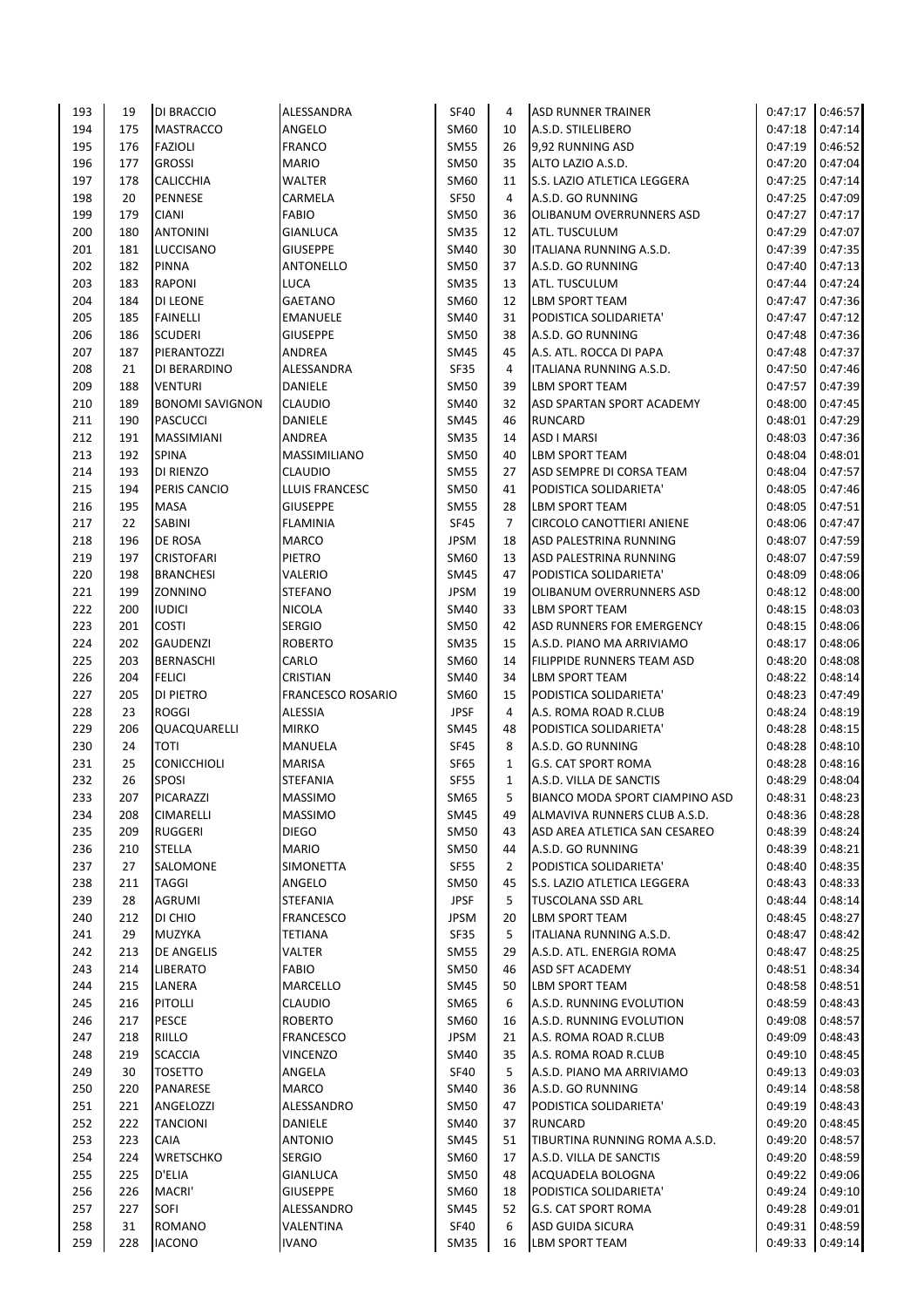| 193 | 19  | DI BRACCIO             | ALESSANDRA               | <b>SF40</b> | 4              | <b>ASD RUNNER TRAINER</b>             | 0:47:17 | 0:46:57 |
|-----|-----|------------------------|--------------------------|-------------|----------------|---------------------------------------|---------|---------|
| 194 | 175 | <b>MASTRACCO</b>       | ANGELO                   | SM60        | 10             | A.S.D. STILELIBERO                    | 0:47:18 | 0:47:14 |
| 195 | 176 | <b>FAZIOLI</b>         | <b>FRANCO</b>            | <b>SM55</b> | 26             | 9,92 RUNNING ASD                      | 0:47:19 | 0:46:52 |
| 196 | 177 | <b>GROSSI</b>          | <b>MARIO</b>             | <b>SM50</b> | 35             | ALTO LAZIO A.S.D.                     | 0:47:20 | 0:47:04 |
| 197 | 178 | CALICCHIA              | WALTER                   | SM60        | 11             | S.S. LAZIO ATLETICA LEGGERA           | 0:47:25 | 0:47:14 |
| 198 | 20  | <b>PENNESE</b>         | CARMELA                  | SF50        | 4              | A.S.D. GO RUNNING                     | 0:47:25 | 0:47:09 |
| 199 | 179 | <b>CIANI</b>           | <b>FABIO</b>             | <b>SM50</b> | 36             | OLIBANUM OVERRUNNERS ASD              | 0:47:27 | 0:47:17 |
|     |     | <b>ANTONINI</b>        |                          |             |                |                                       |         |         |
| 200 | 180 |                        | <b>GIANLUCA</b>          | <b>SM35</b> | 12             | ATL. TUSCULUM                         | 0:47:29 | 0:47:07 |
| 201 | 181 | LUCCISANO              | <b>GIUSEPPE</b>          | SM40        | 30             | ITALIANA RUNNING A.S.D.               | 0:47:39 | 0:47:35 |
| 202 | 182 | <b>PINNA</b>           | <b>ANTONELLO</b>         | <b>SM50</b> | 37             | A.S.D. GO RUNNING                     | 0:47:40 | 0:47:13 |
| 203 | 183 | RAPONI                 | <b>LUCA</b>              | <b>SM35</b> | 13             | ATL. TUSCULUM                         | 0:47:44 | 0:47:24 |
| 204 | 184 | <b>DI LEONE</b>        | GAETANO                  | SM60        | 12             | <b>LBM SPORT TEAM</b>                 | 0:47:47 | 0:47:36 |
| 205 | 185 | <b>FAINELLI</b>        | <b>EMANUELE</b>          | <b>SM40</b> | 31             | PODISTICA SOLIDARIETA'                | 0:47:47 | 0:47:12 |
| 206 | 186 | <b>SCUDERI</b>         | <b>GIUSEPPE</b>          | <b>SM50</b> | 38             | A.S.D. GO RUNNING                     | 0:47:48 | 0:47:36 |
| 207 | 187 | PIERANTOZZI            | ANDREA                   | <b>SM45</b> | 45             | A.S. ATL. ROCCA DI PAPA               | 0:47:48 | 0:47:37 |
| 208 | 21  | DI BERARDINO           | ALESSANDRA               | SF35        | 4              | ITALIANA RUNNING A.S.D.               | 0:47:50 | 0:47:46 |
| 209 | 188 | VENTURI                | DANIELE                  | <b>SM50</b> | 39             | <b>LBM SPORT TEAM</b>                 | 0:47:57 | 0:47:39 |
| 210 | 189 | <b>BONOMI SAVIGNON</b> | <b>CLAUDIO</b>           | SM40        | 32             | ASD SPARTAN SPORT ACADEMY             | 0:48:00 | 0:47:45 |
| 211 | 190 | <b>PASCUCCI</b>        | <b>DANIELE</b>           | <b>SM45</b> | 46             | <b>RUNCARD</b>                        | 0:48:01 | 0:47:29 |
| 212 | 191 | <b>MASSIMIANI</b>      | ANDREA                   | <b>SM35</b> | 14             | ASD I MARSI                           | 0:48:03 | 0:47:36 |
| 213 | 192 | <b>SPINA</b>           | <b>MASSIMILIANO</b>      | <b>SM50</b> | 40             | <b>LBM SPORT TEAM</b>                 | 0:48:04 | 0:48:01 |
|     |     |                        |                          |             |                |                                       |         |         |
| 214 | 193 | DI RIENZO              | <b>CLAUDIO</b>           | <b>SM55</b> | 27             | ASD SEMPRE DI CORSA TEAM              | 0:48:04 | 0:47:57 |
| 215 | 194 | PERIS CANCIO           | LLUIS FRANCESC           | <b>SM50</b> | 41             | PODISTICA SOLIDARIETA'                | 0:48:05 | 0:47:46 |
| 216 | 195 | <b>MASA</b>            | <b>GIUSEPPE</b>          | <b>SM55</b> | 28             | <b>LBM SPORT TEAM</b>                 | 0:48:05 | 0:47:51 |
| 217 | 22  | SABINI                 | <b>FLAMINIA</b>          | SF45        | $\overline{7}$ | CIRCOLO CANOTTIERI ANIENE             | 0:48:06 | 0:47:47 |
| 218 | 196 | DE ROSA                | <b>MARCO</b>             | <b>JPSM</b> | 18             | ASD PALESTRINA RUNNING                | 0:48:07 | 0:47:59 |
| 219 | 197 | <b>CRISTOFARI</b>      | PIETRO                   | SM60        | 13             | ASD PALESTRINA RUNNING                | 0:48:07 | 0:47:59 |
| 220 | 198 | <b>BRANCHESI</b>       | VALERIO                  | <b>SM45</b> | 47             | PODISTICA SOLIDARIETA'                | 0:48:09 | 0:48:06 |
| 221 | 199 | ZONNINO                | <b>STEFANO</b>           | <b>JPSM</b> | 19             | OLIBANUM OVERRUNNERS ASD              | 0:48:12 | 0:48:00 |
| 222 | 200 | <b>IUDICI</b>          | <b>NICOLA</b>            | <b>SM40</b> | 33             | <b>LBM SPORT TEAM</b>                 | 0:48:15 | 0:48:03 |
| 223 | 201 | <b>COSTI</b>           | <b>SERGIO</b>            | <b>SM50</b> | 42             | ASD RUNNERS FOR EMERGENCY             | 0:48:15 | 0:48:06 |
| 224 | 202 | <b>GAUDENZI</b>        | <b>ROBERTO</b>           | <b>SM35</b> | 15             | A.S.D. PIANO MA ARRIVIAMO             | 0:48:17 | 0:48:06 |
| 225 | 203 | <b>BERNASCHI</b>       | CARLO                    | SM60        | 14             | FILIPPIDE RUNNERS TEAM ASD            | 0:48:20 | 0:48:08 |
| 226 | 204 | <b>FELICI</b>          | CRISTIAN                 | SM40        | 34             | <b>LBM SPORT TEAM</b>                 | 0:48:22 | 0:48:14 |
| 227 | 205 | DI PIETRO              | <b>FRANCESCO ROSARIO</b> | SM60        | 15             |                                       | 0:48:23 | 0:47:49 |
|     |     |                        |                          |             |                | PODISTICA SOLIDARIETA'                |         |         |
| 228 | 23  | <b>ROGGI</b>           | ALESSIA                  | <b>JPSF</b> | 4              | A.S. ROMA ROAD R.CLUB                 | 0:48:24 | 0:48:19 |
| 229 | 206 | QUACQUARELLI           | <b>MIRKO</b>             | <b>SM45</b> | 48             | PODISTICA SOLIDARIETA'                | 0:48:28 | 0:48:15 |
| 230 | 24  | <b>TOTI</b>            | <b>MANUELA</b>           | SF45        | 8              | A.S.D. GO RUNNING                     | 0:48:28 | 0:48:10 |
| 231 | 25  | <b>CONICCHIOLI</b>     | <b>MARISA</b>            | SF65        | $\mathbf{1}$   | <b>G.S. CAT SPORT ROMA</b>            | 0:48:28 | 0:48:16 |
| 232 | 26  | <b>SPOSI</b>           | <b>STEFANIA</b>          | <b>SF55</b> | $\mathbf{1}$   | A.S.D. VILLA DE SANCTIS               | 0:48:29 | 0:48:04 |
| 233 | 207 | PICARAZZI              | <b>MASSIMO</b>           | SM65        | 5              | <b>BIANCO MODA SPORT CIAMPINO ASD</b> | 0:48:31 | 0:48:23 |
| 234 | 208 | CIMARELLI              | <b>MASSIMO</b>           | <b>SM45</b> | 49             | ALMAVIVA RUNNERS CLUB A.S.D.          | 0:48:36 | 0:48:28 |
| 235 | 209 | <b>RUGGERI</b>         | <b>DIEGO</b>             | <b>SM50</b> | 43             | ASD AREA ATLETICA SAN CESAREO         | 0:48:39 | 0:48:24 |
| 236 | 210 | <b>STELLA</b>          | <b>MARIO</b>             | <b>SM50</b> | 44             | A.S.D. GO RUNNING                     | 0:48:39 | 0:48:21 |
| 237 | 27  | SALOMONE               | SIMONETTA                | <b>SF55</b> | $\overline{2}$ | PODISTICA SOLIDARIETA'                | 0:48:40 | 0:48:35 |
| 238 | 211 | <b>TAGGI</b>           | ANGELO                   | <b>SM50</b> | 45             | S.S. LAZIO ATLETICA LEGGERA           | 0:48:43 | 0:48:33 |
| 239 | 28  | AGRUMI                 | STEFANIA                 | <b>JPSF</b> | 5              | TUSCOLANA SSD ARL                     | 0:48:44 | 0:48:14 |
| 240 | 212 | DI CHIO                | <b>FRANCESCO</b>         | <b>JPSM</b> | 20             | <b>LBM SPORT TEAM</b>                 | 0:48:45 | 0:48:27 |
| 241 | 29  | MUZYKA                 | TETIANA                  | SF35        | 5              | ITALIANA RUNNING A.S.D.               | 0:48:47 | 0:48:42 |
| 242 | 213 | DE ANGELIS             | VALTER                   | <b>SM55</b> | 29             | A.S.D. ATL. ENERGIA ROMA              | 0:48:47 | 0:48:25 |
|     |     |                        |                          |             |                |                                       |         |         |
| 243 | 214 | <b>LIBERATO</b>        | <b>FABIO</b>             | <b>SM50</b> | 46             | ASD SFT ACADEMY                       | 0:48:51 | 0:48:34 |
| 244 | 215 | LANERA                 | MARCELLO                 | <b>SM45</b> | 50             | <b>LBM SPORT TEAM</b>                 | 0:48:58 | 0:48:51 |
| 245 | 216 | PITOLLI                | <b>CLAUDIO</b>           | SM65        | 6              | A.S.D. RUNNING EVOLUTION              | 0:48:59 | 0:48:43 |
| 246 | 217 | <b>PESCE</b>           | <b>ROBERTO</b>           | SM60        | 16             | A.S.D. RUNNING EVOLUTION              | 0:49:08 | 0:48:57 |
| 247 | 218 | RIILLO                 | <b>FRANCESCO</b>         | <b>JPSM</b> | 21             | A.S. ROMA ROAD R.CLUB                 | 0:49:09 | 0:48:43 |
| 248 | 219 | <b>SCACCIA</b>         | VINCENZO                 | <b>SM40</b> | 35             | A.S. ROMA ROAD R.CLUB                 | 0:49:10 | 0:48:45 |
| 249 | 30  | <b>TOSETTO</b>         | ANGELA                   | <b>SF40</b> | 5              | A.S.D. PIANO MA ARRIVIAMO             | 0:49:13 | 0:49:03 |
| 250 | 220 | PANARESE               | <b>MARCO</b>             | <b>SM40</b> | 36             | A.S.D. GO RUNNING                     | 0:49:14 | 0:48:58 |
| 251 | 221 | ANGELOZZI              | ALESSANDRO               | <b>SM50</b> | 47             | PODISTICA SOLIDARIETA'                | 0:49:19 | 0:48:43 |
| 252 | 222 | TANCIONI               | DANIELE                  | <b>SM40</b> | 37             | <b>RUNCARD</b>                        | 0:49:20 | 0:48:45 |
| 253 | 223 | CAIA                   | ANTONIO                  | <b>SM45</b> | 51             | TIBURTINA RUNNING ROMA A.S.D.         | 0:49:20 | 0:48:57 |
| 254 | 224 | WRETSCHKO              | <b>SERGIO</b>            | SM60        | 17             | A.S.D. VILLA DE SANCTIS               | 0:49:20 | 0:48:59 |
| 255 |     | D'ELIA                 |                          | <b>SM50</b> | 48             |                                       | 0:49:22 | 0:49:06 |
|     | 225 |                        | <b>GIANLUCA</b>          |             |                | ACQUADELA BOLOGNA                     |         |         |
| 256 | 226 | MACRI'                 | <b>GIUSEPPE</b>          | SM60        | 18             | PODISTICA SOLIDARIETA'                | 0:49:24 | 0:49:10 |
| 257 | 227 | SOFI                   | ALESSANDRO               | <b>SM45</b> | 52             | <b>G.S. CAT SPORT ROMA</b>            | 0:49:28 | 0:49:01 |
| 258 | 31  | ROMANO                 | VALENTINA                | <b>SF40</b> | 6              | ASD GUIDA SICURA                      | 0:49:31 | 0:48:59 |
| 259 | 228 | <b>IACONO</b>          | <b>IVANO</b>             | <b>SM35</b> | 16             | <b>LBM SPORT TEAM</b>                 | 0:49:33 | 0:49:14 |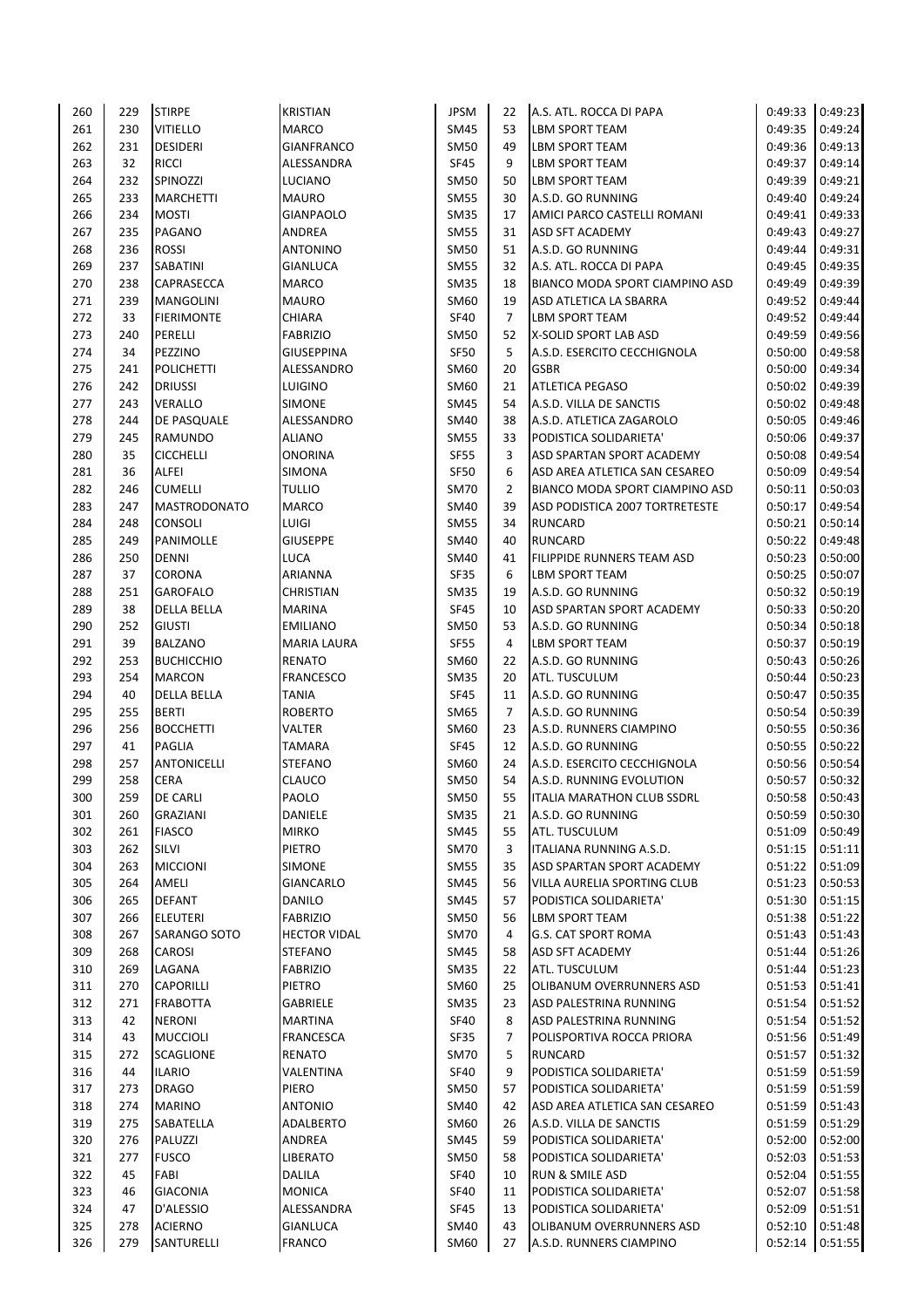| 260 | 229 | <b>STIRPE</b>       | <b>KRISTIAN</b>     | <b>JPSM</b> | 22             | A.S. ATL. ROCCA DI PAPA           | 0:49:33         | 0:49:23 |
|-----|-----|---------------------|---------------------|-------------|----------------|-----------------------------------|-----------------|---------|
| 261 | 230 | <b>VITIELLO</b>     | <b>MARCO</b>        | SM45        | 53             | LBM SPORT TEAM                    | 0:49:35         | 0:49:24 |
| 262 | 231 | <b>DESIDERI</b>     | <b>GIANFRANCO</b>   | <b>SM50</b> | 49             | LBM SPORT TEAM                    | 0:49:36         | 0:49:13 |
| 263 | 32  | <b>RICCI</b>        | ALESSANDRA          | <b>SF45</b> | 9              | LBM SPORT TEAM                    | 0:49:37         | 0:49:14 |
| 264 | 232 | SPINOZZI            | LUCIANO             | <b>SM50</b> | 50             | LBM SPORT TEAM                    | 0:49:39         | 0:49:21 |
| 265 | 233 | <b>MARCHETTI</b>    | <b>MAURO</b>        | <b>SM55</b> | 30             | A.S.D. GO RUNNING                 | 0:49:40         | 0:49:24 |
| 266 | 234 | <b>MOSTI</b>        | <b>GIANPAOLO</b>    | <b>SM35</b> | 17             | AMICI PARCO CASTELLI ROMANI       | 0:49:41         | 0:49:33 |
| 267 | 235 | PAGANO              | ANDREA              | <b>SM55</b> | 31             | ASD SFT ACADEMY                   | 0:49:43         | 0:49:27 |
| 268 | 236 | <b>ROSSI</b>        | <b>ANTONINO</b>     | <b>SM50</b> | 51             | A.S.D. GO RUNNING                 | 0:49:44         | 0:49:31 |
| 269 | 237 | SABATINI            | <b>GIANLUCA</b>     | <b>SM55</b> | 32             | A.S. ATL. ROCCA DI PAPA           | 0:49:45         | 0:49:35 |
| 270 | 238 | CAPRASECCA          | <b>MARCO</b>        | <b>SM35</b> | 18             | BIANCO MODA SPORT CIAMPINO ASD    | 0:49:49         | 0:49:39 |
| 271 | 239 | <b>MANGOLINI</b>    | <b>MAURO</b>        | SM60        | 19             | ASD ATLETICA LA SBARRA            | 0:49:52         | 0:49:44 |
| 272 | 33  | <b>FIERIMONTE</b>   | <b>CHIARA</b>       | SF40        | $\overline{7}$ | LBM SPORT TEAM                    | 0:49:52         | 0:49:44 |
| 273 | 240 | PERELLI             | <b>FABRIZIO</b>     | <b>SM50</b> | 52             | X-SOLID SPORT LAB ASD             | 0:49:59         | 0:49:56 |
| 274 | 34  | PEZZINO             | <b>GIUSEPPINA</b>   | <b>SF50</b> | 5              | A.S.D. ESERCITO CECCHIGNOLA       | 0:50:00         | 0:49:58 |
| 275 | 241 | <b>POLICHETTI</b>   | ALESSANDRO          | SM60        | 20             | <b>GSBR</b>                       | 0:50:00         | 0:49:34 |
| 276 | 242 | <b>DRIUSSI</b>      | <b>LUIGINO</b>      | SM60        | 21             | ATLETICA PEGASO                   | 0:50:02         | 0:49:39 |
| 277 | 243 | VERALLO             | <b>SIMONE</b>       | <b>SM45</b> | 54             | A.S.D. VILLA DE SANCTIS           | 0:50:02         | 0:49:48 |
| 278 | 244 | DE PASQUALE         | ALESSANDRO          | SM40        | 38             | A.S.D. ATLETICA ZAGAROLO          | 0:50:05         | 0:49:46 |
| 279 | 245 | <b>RAMUNDO</b>      | <b>ALIANO</b>       | <b>SM55</b> | 33             | PODISTICA SOLIDARIETA'            | 0:50:06         | 0:49:37 |
| 280 | 35  | <b>CICCHELLI</b>    | <b>ONORINA</b>      | <b>SF55</b> | 3              | ASD SPARTAN SPORT ACADEMY         | 0:50:08         | 0:49:54 |
| 281 | 36  | ALFEI               | <b>SIMONA</b>       | <b>SF50</b> | 6              | ASD AREA ATLETICA SAN CESAREO     | 0:50:09         | 0:49:54 |
| 282 | 246 | <b>CUMELLI</b>      | <b>TULLIO</b>       | <b>SM70</b> | $\overline{2}$ | BIANCO MODA SPORT CIAMPINO ASD    | 0:50:11         | 0:50:03 |
| 283 | 247 | <b>MASTRODONATO</b> | <b>MARCO</b>        | SM40        | 39             | ASD PODISTICA 2007 TORTRETESTE    | 0:50:17         | 0:49:54 |
| 284 | 248 | <b>CONSOLI</b>      | LUIGI               | <b>SM55</b> | 34             | <b>RUNCARD</b>                    | 0:50:21         | 0:50:14 |
| 285 | 249 | PANIMOLLE           | <b>GIUSEPPE</b>     | SM40        | 40             | <b>RUNCARD</b>                    | 0:50:22         | 0:49:48 |
| 286 | 250 | DENNI               | <b>LUCA</b>         | SM40        | 41             | FILIPPIDE RUNNERS TEAM ASD        | 0:50:23         | 0:50:00 |
| 287 | 37  | CORONA              | ARIANNA             | <b>SF35</b> | 6              | LBM SPORT TEAM                    | 0:50:25         | 0:50:07 |
| 288 | 251 | <b>GAROFALO</b>     | <b>CHRISTIAN</b>    | <b>SM35</b> | 19             | A.S.D. GO RUNNING                 | 0:50:32         | 0:50:19 |
| 289 | 38  | <b>DELLA BELLA</b>  | <b>MARINA</b>       | <b>SF45</b> | 10             | ASD SPARTAN SPORT ACADEMY         | 0:50:33         | 0:50:20 |
| 290 | 252 | <b>GIUSTI</b>       | <b>EMILIANO</b>     | <b>SM50</b> | 53             | A.S.D. GO RUNNING                 | 0:50:34         | 0:50:18 |
| 291 | 39  | <b>BALZANO</b>      | <b>MARIA LAURA</b>  | <b>SF55</b> | 4              | LBM SPORT TEAM                    | 0:50:37         | 0:50:19 |
| 292 | 253 | <b>BUCHICCHIO</b>   | <b>RENATO</b>       | SM60        | 22             | A.S.D. GO RUNNING                 | 0:50:43         | 0:50:26 |
| 293 | 254 | <b>MARCON</b>       | <b>FRANCESCO</b>    | <b>SM35</b> | 20             | ATL. TUSCULUM                     | 0:50:44         | 0:50:23 |
| 294 | 40  | <b>DELLA BELLA</b>  | <b>TANIA</b>        | <b>SF45</b> | 11             | A.S.D. GO RUNNING                 | 0:50:47         | 0:50:35 |
| 295 | 255 | <b>BERTI</b>        | <b>ROBERTO</b>      | SM65        | $\overline{7}$ | A.S.D. GO RUNNING                 | 0:50:54         | 0:50:39 |
| 296 | 256 | <b>BOCCHETTI</b>    | <b>VALTER</b>       | SM60        | 23             | A.S.D. RUNNERS CIAMPINO           | 0:50:55         | 0:50:36 |
| 297 | 41  | <b>PAGLIA</b>       | <b>TAMARA</b>       | <b>SF45</b> | 12             | A.S.D. GO RUNNING                 | 0:50:55         | 0:50:22 |
| 298 | 257 | <b>ANTONICELLI</b>  | <b>STEFANO</b>      | SM60        | 24             | A.S.D. ESERCITO CECCHIGNOLA       | 0:50:56         | 0:50:54 |
| 299 | 258 | <b>CERA</b>         | <b>CLAUCO</b>       | <b>SM50</b> | 54             | A.S.D. RUNNING EVOLUTION          | 0:50:57         | 0:50:32 |
| 300 | 259 | <b>DE CARLI</b>     | PAOLO               | <b>SM50</b> | 55             | <b>ITALIA MARATHON CLUB SSDRL</b> | 0:50:58         | 0:50:43 |
| 301 | 260 | GRAZIANI            | <b>DANIELE</b>      | SM35        | 21             | A.S.D. GO RUNNING                 | 0:50:59         | 0:50:30 |
| 302 | 261 | <b>FIASCO</b>       | <b>MIRKO</b>        | <b>SM45</b> | 55             | ATL. TUSCULUM                     | 0:51:09         | 0:50:49 |
| 303 | 262 | SILVI               | <b>PIETRO</b>       | <b>SM70</b> | 3              | ITALIANA RUNNING A.S.D.           | 0:51:15         | 0:51:11 |
| 304 | 263 | <b>MICCIONI</b>     | <b>SIMONE</b>       | <b>SM55</b> | 35             | ASD SPARTAN SPORT ACADEMY         | 0:51:22         | 0:51:09 |
| 305 | 264 | AMELI               | <b>GIANCARLO</b>    | <b>SM45</b> | 56             | VILLA AURELIA SPORTING CLUB       | 0:51:23         | 0:50:53 |
| 306 | 265 | <b>DEFANT</b>       | DANILO              | <b>SM45</b> | 57             | PODISTICA SOLIDARIETA'            | 0:51:30         | 0:51:15 |
| 307 | 266 | ELEUTERI            | <b>FABRIZIO</b>     | <b>SM50</b> | 56             | LBM SPORT TEAM                    | 0:51:38         | 0:51:22 |
| 308 | 267 | SARANGO SOTO        | <b>HECTOR VIDAL</b> | <b>SM70</b> | 4              | G.S. CAT SPORT ROMA               | 0:51:43         | 0:51:43 |
| 309 | 268 | CAROSI              | <b>STEFANO</b>      | <b>SM45</b> | 58             | ASD SFT ACADEMY                   | 0:51:44         | 0:51:26 |
|     |     |                     |                     |             |                |                                   |                 | 0:51:23 |
| 310 | 269 | LAGANA              | <b>FABRIZIO</b>     | SM35        | 22             | ATL. TUSCULUM                     | 0:51:44         |         |
| 311 | 270 | CAPORILLI           | PIETRO              | SM60        | 25             | OLIBANUM OVERRUNNERS ASD          | 0:51:53         | 0:51:41 |
| 312 | 271 | <b>FRABOTTA</b>     | GABRIELE            | <b>SM35</b> | 23             | ASD PALESTRINA RUNNING            | 0:51:54         | 0:51:52 |
| 313 | 42  | <b>NERONI</b>       | <b>MARTINA</b>      | <b>SF40</b> | 8              | ASD PALESTRINA RUNNING            | 0:51:54         | 0:51:52 |
| 314 | 43  | <b>MUCCIOLI</b>     | FRANCESCA           | SF35        | 7              | POLISPORTIVA ROCCA PRIORA         | 0:51:56         | 0:51:49 |
| 315 | 272 | <b>SCAGLIONE</b>    | RENATO              | <b>SM70</b> | 5              | <b>RUNCARD</b>                    | 0:51:57         | 0:51:32 |
| 316 | 44  | <b>ILARIO</b>       | VALENTINA           | <b>SF40</b> | 9              | PODISTICA SOLIDARIETA'            | 0:51:59         | 0:51:59 |
| 317 | 273 | <b>DRAGO</b>        | PIERO               | <b>SM50</b> | 57             | PODISTICA SOLIDARIETA'            | 0:51:59         | 0:51:59 |
| 318 | 274 | <b>MARINO</b>       | <b>ANTONIO</b>      | <b>SM40</b> | 42             | ASD AREA ATLETICA SAN CESAREO     | 0:51:59         | 0:51:43 |
| 319 | 275 | SABATELLA           | ADALBERTO           | SM60        | 26             | A.S.D. VILLA DE SANCTIS           | 0:51:59         | 0:51:29 |
| 320 | 276 | PALUZZI             | ANDREA              | <b>SM45</b> | 59             | PODISTICA SOLIDARIETA'            | 0:52:00         | 0:52:00 |
| 321 | 277 | <b>FUSCO</b>        | <b>LIBERATO</b>     | SM50        | 58             | PODISTICA SOLIDARIETA'            | 0:52:03         | 0:51:53 |
| 322 | 45  | FABI                | DALILA              | <b>SF40</b> | 10             | RUN & SMILE ASD                   | 0:52:04         | 0:51:55 |
| 323 | 46  | <b>GIACONIA</b>     | <b>MONICA</b>       | SF40        | 11             | PODISTICA SOLIDARIETA'            | 0:52:07         | 0:51:58 |
| 324 | 47  | D'ALESSIO           | ALESSANDRA          | SF45        | 13             | PODISTICA SOLIDARIETA'            | 0:52:09         | 0:51:51 |
| 325 | 278 | <b>ACIERNO</b>      | <b>GIANLUCA</b>     | <b>SM40</b> | 43             | OLIBANUM OVERRUNNERS ASD          | 0:52:10         | 0:51:48 |
| 326 | 279 | SANTURELLI          | <b>FRANCO</b>       | SM60        | 27             | A.S.D. RUNNERS CIAMPINO           | 0:52:14 0:51:55 |         |
|     |     |                     |                     |             |                |                                   |                 |         |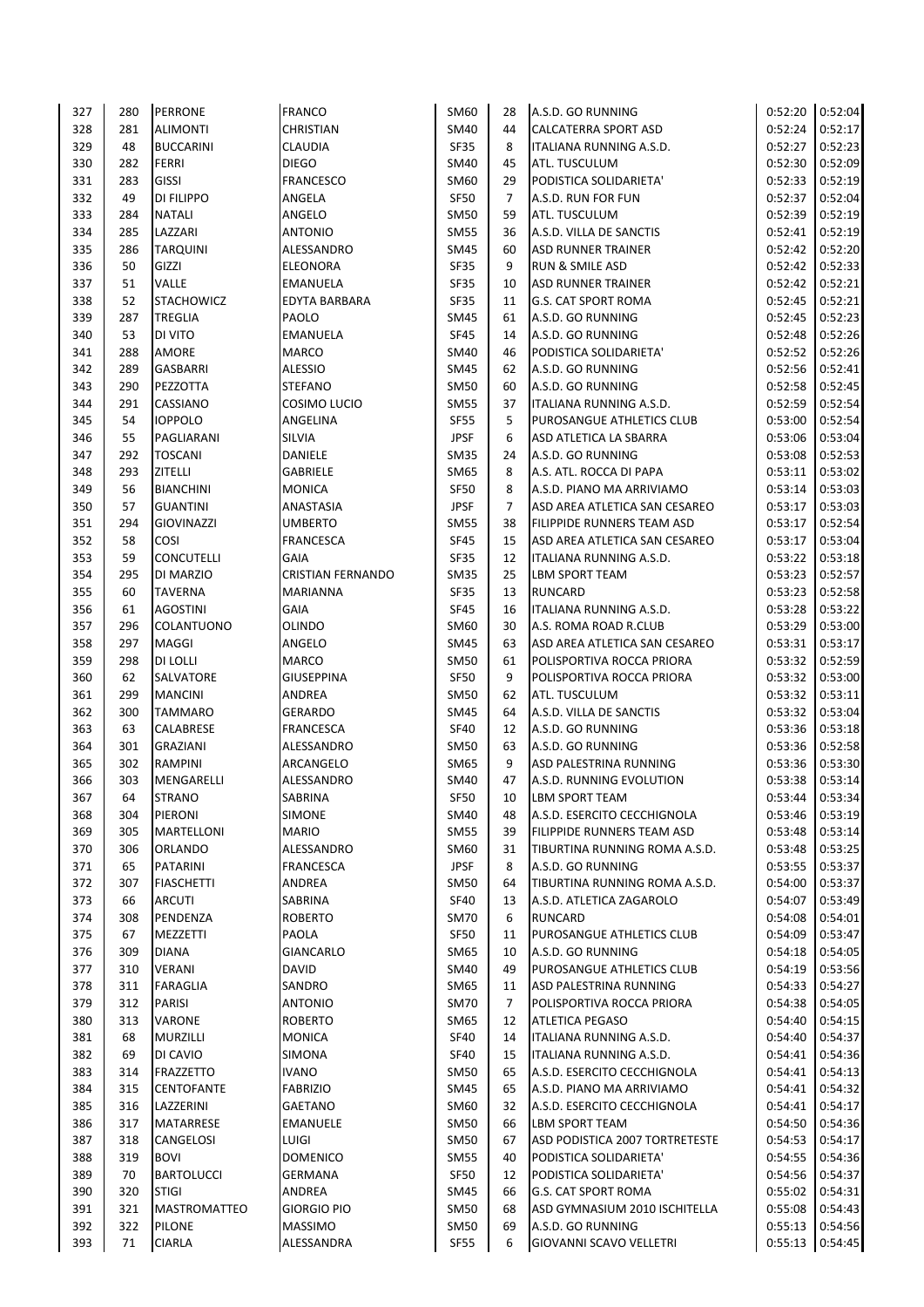| 327 | 280 | <b>PERRONE</b>      | <b>FRANCO</b>            | SM60        | 28             | A.S.D. GO RUNNING              | 0:52:20           | 0:52:04 |
|-----|-----|---------------------|--------------------------|-------------|----------------|--------------------------------|-------------------|---------|
| 328 | 281 | <b>ALIMONTI</b>     | <b>CHRISTIAN</b>         | <b>SM40</b> | 44             | <b>CALCATERRA SPORT ASD</b>    | 0:52:24           | 0:52:17 |
| 329 | 48  | <b>BUCCARINI</b>    | <b>CLAUDIA</b>           | <b>SF35</b> | 8              | ITALIANA RUNNING A.S.D.        | 0:52:27           | 0:52:23 |
| 330 | 282 | <b>FERRI</b>        | <b>DIEGO</b>             | SM40        | 45             | ATL. TUSCULUM                  | 0:52:30           | 0:52:09 |
| 331 | 283 | <b>GISSI</b>        | <b>FRANCESCO</b>         | SM60        | 29             | PODISTICA SOLIDARIETA'         | 0:52:33           | 0:52:19 |
| 332 | 49  | DI FILIPPO          | ANGELA                   | SF50        | $\overline{7}$ | A.S.D. RUN FOR FUN             | 0:52:37           | 0:52:04 |
| 333 | 284 | <b>NATALI</b>       | ANGELO                   | <b>SM50</b> | 59             | ATL. TUSCULUM                  | 0:52:39           | 0:52:19 |
|     |     |                     |                          |             |                |                                |                   |         |
| 334 | 285 | LAZZARI             | <b>ANTONIO</b>           | <b>SM55</b> | 36             | A.S.D. VILLA DE SANCTIS        | 0:52:41           | 0:52:19 |
| 335 | 286 | <b>TARQUINI</b>     | ALESSANDRO               | <b>SM45</b> | 60             | <b>ASD RUNNER TRAINER</b>      | 0:52:42           | 0:52:20 |
| 336 | 50  | GIZZI               | <b>ELEONORA</b>          | SF35        | 9              | <b>RUN &amp; SMILE ASD</b>     | 0:52:42           | 0:52:33 |
| 337 | 51  | VALLE               | <b>EMANUELA</b>          | SF35        | 10             | <b>ASD RUNNER TRAINER</b>      | 0:52:42           | 0:52:21 |
| 338 | 52  | <b>STACHOWICZ</b>   | EDYTA BARBARA            | <b>SF35</b> | 11             | <b>G.S. CAT SPORT ROMA</b>     | 0:52:45           | 0:52:21 |
| 339 | 287 | TREGLIA             | PAOLO                    | <b>SM45</b> | 61             | A.S.D. GO RUNNING              | 0:52:45           | 0:52:23 |
| 340 | 53  | DI VITO             | <b>EMANUELA</b>          | <b>SF45</b> | 14             | A.S.D. GO RUNNING              | 0:52:48           | 0:52:26 |
| 341 | 288 | AMORE               | <b>MARCO</b>             | <b>SM40</b> | 46             | PODISTICA SOLIDARIETA'         | 0:52:52           | 0:52:26 |
| 342 | 289 | GASBARRI            | <b>ALESSIO</b>           | <b>SM45</b> | 62             | A.S.D. GO RUNNING              | 0:52:56           | 0:52:41 |
| 343 | 290 | PEZZOTTA            | <b>STEFANO</b>           | <b>SM50</b> | 60             | A.S.D. GO RUNNING              | 0:52:58           | 0:52:45 |
| 344 | 291 | CASSIANO            | COSIMO LUCIO             | <b>SM55</b> | 37             | ITALIANA RUNNING A.S.D.        | 0:52:59           | 0:52:54 |
| 345 | 54  | <b>IOPPOLO</b>      | ANGELINA                 | SF55        | 5              | PUROSANGUE ATHLETICS CLUB      | 0:53:00           | 0:52:54 |
| 346 | 55  | PAGLIARANI          | <b>SILVIA</b>            | <b>JPSF</b> | 6              | ASD ATLETICA LA SBARRA         | 0:53:06           | 0:53:04 |
| 347 | 292 | <b>TOSCANI</b>      | DANIELE                  | <b>SM35</b> | 24             | A.S.D. GO RUNNING              | 0:53:08           | 0:52:53 |
|     |     |                     |                          |             |                |                                |                   |         |
| 348 | 293 | ZITELLI             | <b>GABRIELE</b>          | SM65        | 8              | A.S. ATL. ROCCA DI PAPA        | 0:53:11           | 0:53:02 |
| 349 | 56  | <b>BIANCHINI</b>    | <b>MONICA</b>            | SF50        | 8              | A.S.D. PIANO MA ARRIVIAMO      | 0:53:14           | 0:53:03 |
| 350 | 57  | <b>GUANTINI</b>     | ANASTASIA                | <b>JPSF</b> | $\overline{7}$ | ASD AREA ATLETICA SAN CESAREO  | 0:53:17           | 0:53:03 |
| 351 | 294 | <b>GIOVINAZZI</b>   | <b>UMBERTO</b>           | <b>SM55</b> | 38             | FILIPPIDE RUNNERS TEAM ASD     | 0:53:17           | 0:52:54 |
| 352 | 58  | COSI                | <b>FRANCESCA</b>         | <b>SF45</b> | 15             | ASD AREA ATLETICA SAN CESAREO  | 0:53:17           | 0:53:04 |
| 353 | 59  | <b>CONCUTELLI</b>   | <b>GAIA</b>              | SF35        | 12             | ITALIANA RUNNING A.S.D.        | 0:53:22           | 0:53:18 |
| 354 | 295 | DI MARZIO           | <b>CRISTIAN FERNANDO</b> | <b>SM35</b> | 25             | LBM SPORT TEAM                 | 0:53:23           | 0:52:57 |
| 355 | 60  | <b>TAVERNA</b>      | <b>MARIANNA</b>          | SF35        | 13             | <b>RUNCARD</b>                 | 0:53:23           | 0:52:58 |
| 356 | 61  | <b>AGOSTINI</b>     | GAIA                     | SF45        | 16             | ITALIANA RUNNING A.S.D.        | 0:53:28           | 0:53:22 |
| 357 | 296 | COLANTUONO          | OLINDO                   | SM60        | 30             | A.S. ROMA ROAD R.CLUB          | 0:53:29           | 0:53:00 |
| 358 | 297 | MAGGI               | ANGELO                   | <b>SM45</b> | 63             | ASD AREA ATLETICA SAN CESAREO  | 0:53:31           | 0:53:17 |
| 359 | 298 | DI LOLLI            | <b>MARCO</b>             | <b>SM50</b> | 61             | POLISPORTIVA ROCCA PRIORA      | 0:53:32           | 0:52:59 |
| 360 |     | <b>SALVATORE</b>    | <b>GIUSEPPINA</b>        | SF50        | 9              |                                | 0:53:32           | 0:53:00 |
|     | 62  |                     |                          |             |                | POLISPORTIVA ROCCA PRIORA      |                   |         |
| 361 | 299 | <b>MANCINI</b>      | ANDREA                   | <b>SM50</b> | 62             | ATL. TUSCULUM                  | 0:53:32           | 0:53:11 |
| 362 | 300 | <b>TAMMARO</b>      | <b>GERARDO</b>           | <b>SM45</b> | 64             | A.S.D. VILLA DE SANCTIS        | 0:53:32           | 0:53:04 |
| 363 | 63  | CALABRESE           | FRANCESCA                | <b>SF40</b> | 12             | A.S.D. GO RUNNING              | 0:53:36           | 0:53:18 |
| 364 | 301 | <b>GRAZIANI</b>     | ALESSANDRO               | <b>SM50</b> | 63             | A.S.D. GO RUNNING              | 0:53:36           | 0:52:58 |
| 365 | 302 | RAMPINI             | ARCANGELO                | SM65        | 9              | ASD PALESTRINA RUNNING         | 0:53:36           | 0:53:30 |
| 366 | 303 | MENGARELLI          | ALESSANDRO               | <b>SM40</b> | 47             | A.S.D. RUNNING EVOLUTION       | 0:53:38           | 0:53:14 |
| 367 | 64  | <b>STRANO</b>       | SABRINA                  | <b>SF50</b> | 10             | LBM SPORT TEAM                 | $0:53:44$ 0:53:34 |         |
| 368 | 304 | PIERONI             | <b>SIMONE</b>            | <b>SM40</b> | 48             | A.S.D. ESERCITO CECCHIGNOLA    | 0:53:46           | 0:53:19 |
| 369 | 305 | <b>MARTELLONI</b>   | <b>MARIO</b>             | <b>SM55</b> | 39             | FILIPPIDE RUNNERS TEAM ASD     | 0:53:48           | 0:53:14 |
| 370 | 306 | ORLANDO             | ALESSANDRO               | <b>SM60</b> | 31             | TIBURTINA RUNNING ROMA A.S.D.  | 0:53:48           | 0:53:25 |
| 371 | 65  | PATARINI            | <b>FRANCESCA</b>         | <b>JPSF</b> | 8              | A.S.D. GO RUNNING              | 0:53:55           | 0:53:37 |
| 372 | 307 | <b>FIASCHETTI</b>   | ANDREA                   | <b>SM50</b> | 64             | TIBURTINA RUNNING ROMA A.S.D.  | 0:54:00           | 0:53:37 |
| 373 | 66  | <b>ARCUTI</b>       | SABRINA                  | <b>SF40</b> | 13             | A.S.D. ATLETICA ZAGAROLO       | 0:54:07           | 0:53:49 |
| 374 | 308 | PENDENZA            | <b>ROBERTO</b>           | <b>SM70</b> | 6              | RUNCARD                        | 0:54:08           | 0:54:01 |
|     |     |                     |                          |             |                |                                | 0:54:09           |         |
| 375 | 67  | MEZZETTI            | PAOLA                    | SF50        | 11             | PUROSANGUE ATHLETICS CLUB      |                   | 0:53:47 |
| 376 | 309 | <b>DIANA</b>        | GIANCARLO                | SM65        | 10             | A.S.D. GO RUNNING              | 0:54:18           | 0:54:05 |
| 377 | 310 | <b>VERANI</b>       | <b>DAVID</b>             | <b>SM40</b> | 49             | PUROSANGUE ATHLETICS CLUB      | 0:54:19           | 0:53:56 |
| 378 | 311 | FARAGLIA            | SANDRO                   | SM65        | 11             | ASD PALESTRINA RUNNING         | 0:54:33           | 0:54:27 |
| 379 | 312 | PARISI              | <b>ANTONIO</b>           | <b>SM70</b> | 7              | POLISPORTIVA ROCCA PRIORA      | 0:54:38           | 0:54:05 |
| 380 | 313 | VARONE              | <b>ROBERTO</b>           | SM65        | 12             | <b>ATLETICA PEGASO</b>         | 0:54:40           | 0:54:15 |
| 381 | 68  | <b>MURZILLI</b>     | <b>MONICA</b>            | <b>SF40</b> | 14             | ITALIANA RUNNING A.S.D.        | 0:54:40           | 0:54:37 |
| 382 | 69  | DI CAVIO            | SIMONA                   | <b>SF40</b> | 15             | ITALIANA RUNNING A.S.D.        | 0:54:41           | 0:54:36 |
| 383 | 314 | <b>FRAZZETTO</b>    | <b>IVANO</b>             | <b>SM50</b> | 65             | A.S.D. ESERCITO CECCHIGNOLA    | 0:54:41           | 0:54:13 |
| 384 | 315 | <b>CENTOFANTE</b>   | <b>FABRIZIO</b>          | <b>SM45</b> | 65             | A.S.D. PIANO MA ARRIVIAMO      | 0:54:41           | 0:54:32 |
| 385 | 316 | LAZZERINI           | GAETANO                  | SM60        | 32             | A.S.D. ESERCITO CECCHIGNOLA    | 0:54:41           | 0:54:17 |
| 386 | 317 | MATARRESE           | <b>EMANUELE</b>          | <b>SM50</b> | 66             | LBM SPORT TEAM                 | 0:54:50           | 0:54:36 |
| 387 | 318 | CANGELOSI           | LUIGI                    | SM50        | 67             | ASD PODISTICA 2007 TORTRETESTE | 0:54:53           | 0:54:17 |
| 388 | 319 | <b>BOVI</b>         | <b>DOMENICO</b>          | <b>SM55</b> | 40             | PODISTICA SOLIDARIETA'         | 0:54:55           | 0:54:36 |
|     | 70  |                     | <b>GERMANA</b>           |             |                | PODISTICA SOLIDARIETA'         | 0:54:56           |         |
| 389 |     | <b>BARTOLUCCI</b>   |                          | SF50        | 12             |                                |                   | 0:54:37 |
| 390 | 320 | <b>STIGI</b>        | ANDREA                   | SM45        | 66             | G.S. CAT SPORT ROMA            | 0:55:02           | 0:54:31 |
| 391 | 321 | <b>MASTROMATTEO</b> | <b>GIORGIO PIO</b>       | <b>SM50</b> | 68             | ASD GYMNASIUM 2010 ISCHITELLA  | 0:55:08           | 0:54:43 |
| 392 | 322 | <b>PILONE</b>       | <b>MASSIMO</b>           | <b>SM50</b> | 69             | A.S.D. GO RUNNING              | 0:55:13           | 0:54:56 |
| 393 | 71  | <b>CIARLA</b>       | ALESSANDRA               | SF55        | 6              | GIOVANNI SCAVO VELLETRI        | 0:55:13  0:54:45  |         |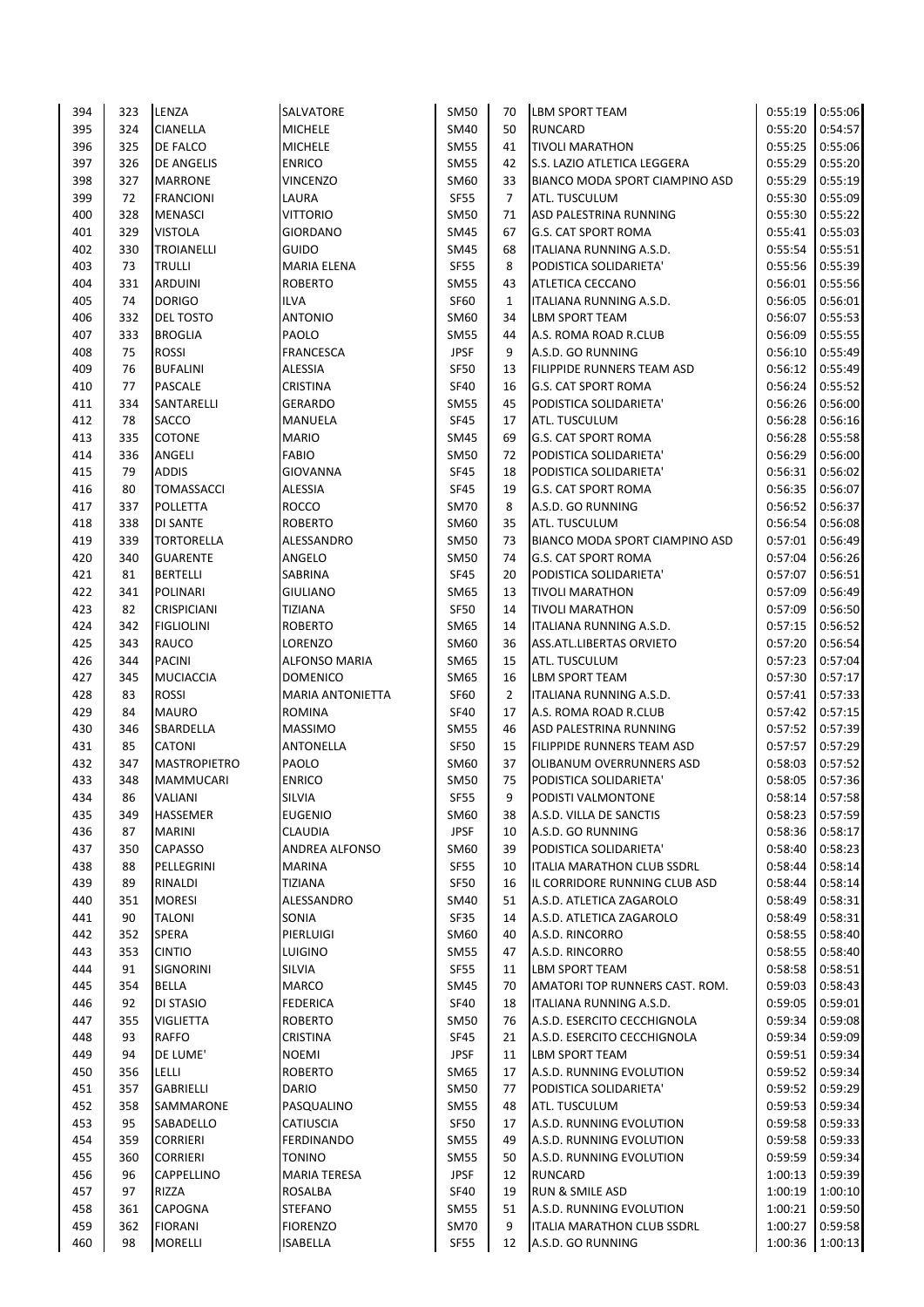| 395<br><b>CIANELLA</b><br><b>MICHELE</b><br>SM40<br>50<br><b>RUNCARD</b><br>324<br>396<br>DE FALCO<br><b>MICHELE</b><br><b>SM55</b><br>325<br>41<br><b>TIVOLI MARATHON</b><br>397<br><b>ENRICO</b><br><b>SM55</b><br>42<br>326<br><b>DE ANGELIS</b><br>398<br>327<br><b>MARRONE</b><br><b>VINCENZO</b><br>SM60<br>33<br>399<br><b>SF55</b><br>72<br><b>FRANCIONI</b><br>LAURA<br>$\overline{7}$<br>ATL. TUSCULUM<br>400<br>328<br><b>MENASCI</b><br><b>VITTORIO</b><br><b>SM50</b><br>71<br>329<br><b>VISTOLA</b><br><b>GIORDANO</b><br><b>SM45</b><br>401<br>67<br>402<br><b>TROIANELLI</b><br><b>GUIDO</b><br><b>SM45</b><br>68<br>330<br><b>SF55</b><br>403<br>73<br><b>TRULLI</b><br>8<br><b>MARIA ELENA</b><br>404<br><b>ARDUINI</b><br><b>ROBERTO</b><br><b>SM55</b><br>331<br>43<br>ATLETICA CECCANO<br>405<br>74<br><b>DORIGO</b><br><b>SF60</b><br><b>ILVA</b><br>$\mathbf{1}$<br>332<br><b>ANTONIO</b><br>SM60<br>406<br><b>DEL TOSTO</b><br>34<br><b>LBM SPORT TEAM</b><br>407<br><b>BROGLIA</b><br>PAOLO<br><b>SM55</b><br>333<br>44<br><b>JPSF</b><br>408<br>75<br><b>ROSSI</b><br><b>FRANCESCA</b><br>9<br>A.S.D. GO RUNNING<br>409<br><b>ALESSIA</b><br><b>SF50</b><br>76<br><b>BUFALINI</b><br>13<br>410<br><b>PASCALE</b><br><b>CRISTINA</b><br><b>SF40</b><br>77<br>16<br>334<br>SANTARELLI<br><b>SM55</b><br>45<br>411<br><b>GERARDO</b><br>412<br>78<br>SACCO<br><b>SF45</b><br><b>MANUELA</b><br>17<br>ATL. TUSCULUM<br>413<br>335<br>COTONE<br><b>MARIO</b><br><b>SM45</b><br>69<br><b>G.S. CAT SPORT ROMA</b><br>414<br>ANGELI<br><b>FABIO</b><br><b>SM50</b><br>336<br>72<br>PODISTICA SOLIDARIETA'<br>415<br><b>ADDIS</b><br><b>GIOVANNA</b><br><b>SF45</b><br>79<br>18<br>416<br>80<br><b>TOMASSACCI</b><br><b>ALESSIA</b><br><b>SF45</b><br>19<br>G.S. CAT SPORT ROMA<br>417<br>337<br><b>ROCCO</b><br><b>SM70</b><br>8<br>POLLETTA<br>A.S.D. GO RUNNING<br>418<br>SM60<br>35<br>338<br><b>DI SANTE</b><br><b>ROBERTO</b><br>ATL. TUSCULUM<br>419<br>339<br><b>TORTORELLA</b><br>ALESSANDRO<br><b>SM50</b><br>73<br>420<br><b>GUARENTE</b><br>ANGELO<br><b>SM50</b><br>340<br>74<br><b>G.S. CAT SPORT ROMA</b><br>421<br><b>SF45</b><br>81<br><b>BERTELLI</b><br><b>SABRINA</b><br>20<br>PODISTICA SOLIDARIETA'<br>422<br>SM65<br>341<br><b>POLINARI</b><br><b>GIULIANO</b><br>13<br><b>TIVOLI MARATHON</b><br><b>SF50</b><br>423<br>82<br><b>CRISPICIANI</b><br><b>TIZIANA</b><br>14<br><b>TIVOLI MARATHON</b><br>424<br>342<br><b>FIGLIOLINI</b><br>SM65<br><b>ROBERTO</b><br>14<br>ITALIANA RUNNING A.S.D.<br>425<br>343<br>RAUCO<br>LORENZO<br>SM60<br>36<br>ASS.ATL.LIBERTAS ORVIETO<br><b>PACINI</b><br>SM65<br>426<br>344<br><b>ALFONSO MARIA</b><br>15<br>ATL. TUSCULUM<br>427<br><b>MUCIACCIA</b><br><b>DOMENICO</b><br>SM65<br>345<br>16<br>LBM SPORT TEAM<br>428<br><b>ROSSI</b><br><b>SF60</b><br>$\overline{2}$<br>83<br><b>MARIA ANTONIETTA</b><br>ITALIANA RUNNING A.S.D.<br><b>SF40</b><br>429<br>84<br><b>MAURO</b><br><b>ROMINA</b><br>17<br>A.S. ROMA ROAD R.CLUB<br>430<br>346<br>SBARDELLA<br><b>SM55</b><br>46<br><b>MASSIMO</b><br>ASD PALESTRINA RUNNING<br>85<br>CATONI<br><b>SF50</b><br>FILIPPIDE RUNNERS TEAM ASD<br>431<br><b>ANTONELLA</b><br>15<br>PAOLO<br>SM60<br>432<br>347<br><b>MASTROPIETRO</b><br>37<br>OLIBANUM OVERRUNNERS ASD<br><b>ENRICO</b><br><b>SM50</b><br>433<br>348<br><b>MAMMUCARI</b><br>75<br>PODISTICA SOLIDARIETA'<br><b>SF55</b><br>9<br>86<br><b>SILVIA</b><br>434<br>VALIANI<br>PODISTI VALMONTONE<br>435<br>349<br>HASSEMER<br><b>EUGENIO</b><br>SM60<br>38<br>A.S.D. VILLA DE SANCTIS<br><b>JPSF</b><br>87<br><b>MARINI</b><br>10<br>436<br><b>CLAUDIA</b><br>A.S.D. GO RUNNING<br>SM60<br>437<br>350<br><b>CAPASSO</b><br>ANDREA ALFONSO<br>39<br>PODISTICA SOLIDARIETA'<br><b>SF55</b><br>438<br>88<br>PELLEGRINI<br><b>MARINA</b><br>10<br>ITALIA MARATHON CLUB SSDRL<br>439<br>89<br>RINALDI<br><b>TIZIANA</b><br>SF50<br>16<br><b>MORESI</b><br>440<br>351<br>ALESSANDRO<br>SM40<br>51<br>A.S.D. ATLETICA ZAGAROLO<br><b>SF35</b><br>441<br>90<br>TALONI<br>SONIA<br>A.S.D. ATLETICA ZAGAROLO<br>14<br>442<br>352<br>SPERA<br>PIERLUIGI<br>SM60<br>40<br>A.S.D. RINCORRO<br>443<br>353<br><b>CINTIO</b><br><b>LUIGINO</b><br><b>SM55</b><br>47<br>A.S.D. RINCORRO<br>SILVIA<br><b>SF55</b><br>444<br>91<br><b>SIGNORINI</b><br><b>LBM SPORT TEAM</b><br>11<br><b>MARCO</b><br>445<br>354<br>BELLA<br>SM45<br>70<br>92<br>DI STASIO<br><b>SF40</b><br>446<br><b>FEDERICA</b><br>18<br>ITALIANA RUNNING A.S.D.<br><b>SM50</b><br>447<br>355<br>VIGLIETTA<br><b>ROBERTO</b><br>76<br><b>SF45</b><br>448<br>93<br>RAFFO<br>CRISTINA<br>21<br>449<br>94<br>DE LUME'<br><b>JPSF</b><br><b>NOEMI</b><br>11<br>LBM SPORT TEAM<br>LELLI<br>SM65<br>450<br>356<br><b>ROBERTO</b><br>17<br>451<br>357<br>GABRIELLI<br><b>DARIO</b><br>SM50<br>77<br><b>SM55</b><br>452<br>358<br>SAMMARONE<br>PASQUALINO<br>48<br>ATL. TUSCULUM<br>453<br>95<br>SABADELLO<br>CATIUSCIA<br>SF50<br>17<br>454<br>359<br><b>CORRIERI</b><br><b>FERDINANDO</b><br><b>SM55</b><br>49<br><b>SM55</b><br>455<br>360<br><b>CORRIERI</b><br>TONINO<br>50<br>CAPPELLINO<br><b>JPSF</b><br>456<br>96<br><b>MARIA TERESA</b><br>12<br><b>RUNCARD</b><br>RIZZA<br>457<br>97<br><b>ROSALBA</b><br>SF40<br>19<br><b>RUN &amp; SMILE ASD</b><br><b>SM55</b><br>458<br>361<br>CAPOGNA<br><b>STEFANO</b><br>51<br>9<br>459<br>362<br><b>FIORANI</b><br><b>FIORENZO</b><br>SM70 | 394 | 323 | LENZA          | <b>SALVATORE</b> | <b>SM50</b> | 70 | LBM SPORT TEAM                 | 0:55:19            | 0:55:06 |
|------------------------------------------------------------------------------------------------------------------------------------------------------------------------------------------------------------------------------------------------------------------------------------------------------------------------------------------------------------------------------------------------------------------------------------------------------------------------------------------------------------------------------------------------------------------------------------------------------------------------------------------------------------------------------------------------------------------------------------------------------------------------------------------------------------------------------------------------------------------------------------------------------------------------------------------------------------------------------------------------------------------------------------------------------------------------------------------------------------------------------------------------------------------------------------------------------------------------------------------------------------------------------------------------------------------------------------------------------------------------------------------------------------------------------------------------------------------------------------------------------------------------------------------------------------------------------------------------------------------------------------------------------------------------------------------------------------------------------------------------------------------------------------------------------------------------------------------------------------------------------------------------------------------------------------------------------------------------------------------------------------------------------------------------------------------------------------------------------------------------------------------------------------------------------------------------------------------------------------------------------------------------------------------------------------------------------------------------------------------------------------------------------------------------------------------------------------------------------------------------------------------------------------------------------------------------------------------------------------------------------------------------------------------------------------------------------------------------------------------------------------------------------------------------------------------------------------------------------------------------------------------------------------------------------------------------------------------------------------------------------------------------------------------------------------------------------------------------------------------------------------------------------------------------------------------------------------------------------------------------------------------------------------------------------------------------------------------------------------------------------------------------------------------------------------------------------------------------------------------------------------------------------------------------------------------------------------------------------------------------------------------------------------------------------------------------------------------------------------------------------------------------------------------------------------------------------------------------------------------------------------------------------------------------------------------------------------------------------------------------------------------------------------------------------------------------------------------------------------------------------------------------------------------------------------------------------------------------------------------------------------------------------------------------------------------------------------------------------------------------------------------------------------------------------------------------------------------------------------------------------------------------------------------------------------------------------------------------------------------------------------------------------------------------------------------------------------------------------------------------------------------------------------------------------------------------------------------------------------------------------------------------------------------------------------------------------------------------------------------------------------------------------------------------------------------------------------------------------------------------------------------------------------------------------------------------------------------------------------------------------------------------------------------------------------------------------------------------------------------------------------------------------------------------------|-----|-----|----------------|------------------|-------------|----|--------------------------------|--------------------|---------|
|                                                                                                                                                                                                                                                                                                                                                                                                                                                                                                                                                                                                                                                                                                                                                                                                                                                                                                                                                                                                                                                                                                                                                                                                                                                                                                                                                                                                                                                                                                                                                                                                                                                                                                                                                                                                                                                                                                                                                                                                                                                                                                                                                                                                                                                                                                                                                                                                                                                                                                                                                                                                                                                                                                                                                                                                                                                                                                                                                                                                                                                                                                                                                                                                                                                                                                                                                                                                                                                                                                                                                                                                                                                                                                                                                                                                                                                                                                                                                                                                                                                                                                                                                                                                                                                                                                                                                                                                                                                                                                                                                                                                                                                                                                                                                                                                                                                                                                                                                                                                                                                                                                                                                                                                                                                                                                                                                                                                                              |     |     |                |                  |             |    |                                | 0:55:20            | 0:54:57 |
|                                                                                                                                                                                                                                                                                                                                                                                                                                                                                                                                                                                                                                                                                                                                                                                                                                                                                                                                                                                                                                                                                                                                                                                                                                                                                                                                                                                                                                                                                                                                                                                                                                                                                                                                                                                                                                                                                                                                                                                                                                                                                                                                                                                                                                                                                                                                                                                                                                                                                                                                                                                                                                                                                                                                                                                                                                                                                                                                                                                                                                                                                                                                                                                                                                                                                                                                                                                                                                                                                                                                                                                                                                                                                                                                                                                                                                                                                                                                                                                                                                                                                                                                                                                                                                                                                                                                                                                                                                                                                                                                                                                                                                                                                                                                                                                                                                                                                                                                                                                                                                                                                                                                                                                                                                                                                                                                                                                                                              |     |     |                |                  |             |    |                                | 0:55:25            | 0:55:06 |
|                                                                                                                                                                                                                                                                                                                                                                                                                                                                                                                                                                                                                                                                                                                                                                                                                                                                                                                                                                                                                                                                                                                                                                                                                                                                                                                                                                                                                                                                                                                                                                                                                                                                                                                                                                                                                                                                                                                                                                                                                                                                                                                                                                                                                                                                                                                                                                                                                                                                                                                                                                                                                                                                                                                                                                                                                                                                                                                                                                                                                                                                                                                                                                                                                                                                                                                                                                                                                                                                                                                                                                                                                                                                                                                                                                                                                                                                                                                                                                                                                                                                                                                                                                                                                                                                                                                                                                                                                                                                                                                                                                                                                                                                                                                                                                                                                                                                                                                                                                                                                                                                                                                                                                                                                                                                                                                                                                                                                              |     |     |                |                  |             |    | S.S. LAZIO ATLETICA LEGGERA    | 0:55:29            | 0:55:20 |
|                                                                                                                                                                                                                                                                                                                                                                                                                                                                                                                                                                                                                                                                                                                                                                                                                                                                                                                                                                                                                                                                                                                                                                                                                                                                                                                                                                                                                                                                                                                                                                                                                                                                                                                                                                                                                                                                                                                                                                                                                                                                                                                                                                                                                                                                                                                                                                                                                                                                                                                                                                                                                                                                                                                                                                                                                                                                                                                                                                                                                                                                                                                                                                                                                                                                                                                                                                                                                                                                                                                                                                                                                                                                                                                                                                                                                                                                                                                                                                                                                                                                                                                                                                                                                                                                                                                                                                                                                                                                                                                                                                                                                                                                                                                                                                                                                                                                                                                                                                                                                                                                                                                                                                                                                                                                                                                                                                                                                              |     |     |                |                  |             |    | BIANCO MODA SPORT CIAMPINO ASD | 0:55:29            | 0:55:19 |
|                                                                                                                                                                                                                                                                                                                                                                                                                                                                                                                                                                                                                                                                                                                                                                                                                                                                                                                                                                                                                                                                                                                                                                                                                                                                                                                                                                                                                                                                                                                                                                                                                                                                                                                                                                                                                                                                                                                                                                                                                                                                                                                                                                                                                                                                                                                                                                                                                                                                                                                                                                                                                                                                                                                                                                                                                                                                                                                                                                                                                                                                                                                                                                                                                                                                                                                                                                                                                                                                                                                                                                                                                                                                                                                                                                                                                                                                                                                                                                                                                                                                                                                                                                                                                                                                                                                                                                                                                                                                                                                                                                                                                                                                                                                                                                                                                                                                                                                                                                                                                                                                                                                                                                                                                                                                                                                                                                                                                              |     |     |                |                  |             |    |                                | 0:55:30            | 0:55:09 |
|                                                                                                                                                                                                                                                                                                                                                                                                                                                                                                                                                                                                                                                                                                                                                                                                                                                                                                                                                                                                                                                                                                                                                                                                                                                                                                                                                                                                                                                                                                                                                                                                                                                                                                                                                                                                                                                                                                                                                                                                                                                                                                                                                                                                                                                                                                                                                                                                                                                                                                                                                                                                                                                                                                                                                                                                                                                                                                                                                                                                                                                                                                                                                                                                                                                                                                                                                                                                                                                                                                                                                                                                                                                                                                                                                                                                                                                                                                                                                                                                                                                                                                                                                                                                                                                                                                                                                                                                                                                                                                                                                                                                                                                                                                                                                                                                                                                                                                                                                                                                                                                                                                                                                                                                                                                                                                                                                                                                                              |     |     |                |                  |             |    | ASD PALESTRINA RUNNING         | 0:55:30            | 0:55:22 |
|                                                                                                                                                                                                                                                                                                                                                                                                                                                                                                                                                                                                                                                                                                                                                                                                                                                                                                                                                                                                                                                                                                                                                                                                                                                                                                                                                                                                                                                                                                                                                                                                                                                                                                                                                                                                                                                                                                                                                                                                                                                                                                                                                                                                                                                                                                                                                                                                                                                                                                                                                                                                                                                                                                                                                                                                                                                                                                                                                                                                                                                                                                                                                                                                                                                                                                                                                                                                                                                                                                                                                                                                                                                                                                                                                                                                                                                                                                                                                                                                                                                                                                                                                                                                                                                                                                                                                                                                                                                                                                                                                                                                                                                                                                                                                                                                                                                                                                                                                                                                                                                                                                                                                                                                                                                                                                                                                                                                                              |     |     |                |                  |             |    | G.S. CAT SPORT ROMA            | 0:55:41            | 0:55:03 |
|                                                                                                                                                                                                                                                                                                                                                                                                                                                                                                                                                                                                                                                                                                                                                                                                                                                                                                                                                                                                                                                                                                                                                                                                                                                                                                                                                                                                                                                                                                                                                                                                                                                                                                                                                                                                                                                                                                                                                                                                                                                                                                                                                                                                                                                                                                                                                                                                                                                                                                                                                                                                                                                                                                                                                                                                                                                                                                                                                                                                                                                                                                                                                                                                                                                                                                                                                                                                                                                                                                                                                                                                                                                                                                                                                                                                                                                                                                                                                                                                                                                                                                                                                                                                                                                                                                                                                                                                                                                                                                                                                                                                                                                                                                                                                                                                                                                                                                                                                                                                                                                                                                                                                                                                                                                                                                                                                                                                                              |     |     |                |                  |             |    | ITALIANA RUNNING A.S.D.        | 0:55:54            | 0:55:51 |
|                                                                                                                                                                                                                                                                                                                                                                                                                                                                                                                                                                                                                                                                                                                                                                                                                                                                                                                                                                                                                                                                                                                                                                                                                                                                                                                                                                                                                                                                                                                                                                                                                                                                                                                                                                                                                                                                                                                                                                                                                                                                                                                                                                                                                                                                                                                                                                                                                                                                                                                                                                                                                                                                                                                                                                                                                                                                                                                                                                                                                                                                                                                                                                                                                                                                                                                                                                                                                                                                                                                                                                                                                                                                                                                                                                                                                                                                                                                                                                                                                                                                                                                                                                                                                                                                                                                                                                                                                                                                                                                                                                                                                                                                                                                                                                                                                                                                                                                                                                                                                                                                                                                                                                                                                                                                                                                                                                                                                              |     |     |                |                  |             |    | PODISTICA SOLIDARIETA'         | 0:55:56            | 0:55:39 |
|                                                                                                                                                                                                                                                                                                                                                                                                                                                                                                                                                                                                                                                                                                                                                                                                                                                                                                                                                                                                                                                                                                                                                                                                                                                                                                                                                                                                                                                                                                                                                                                                                                                                                                                                                                                                                                                                                                                                                                                                                                                                                                                                                                                                                                                                                                                                                                                                                                                                                                                                                                                                                                                                                                                                                                                                                                                                                                                                                                                                                                                                                                                                                                                                                                                                                                                                                                                                                                                                                                                                                                                                                                                                                                                                                                                                                                                                                                                                                                                                                                                                                                                                                                                                                                                                                                                                                                                                                                                                                                                                                                                                                                                                                                                                                                                                                                                                                                                                                                                                                                                                                                                                                                                                                                                                                                                                                                                                                              |     |     |                |                  |             |    |                                | 0:56:01            | 0:55:56 |
|                                                                                                                                                                                                                                                                                                                                                                                                                                                                                                                                                                                                                                                                                                                                                                                                                                                                                                                                                                                                                                                                                                                                                                                                                                                                                                                                                                                                                                                                                                                                                                                                                                                                                                                                                                                                                                                                                                                                                                                                                                                                                                                                                                                                                                                                                                                                                                                                                                                                                                                                                                                                                                                                                                                                                                                                                                                                                                                                                                                                                                                                                                                                                                                                                                                                                                                                                                                                                                                                                                                                                                                                                                                                                                                                                                                                                                                                                                                                                                                                                                                                                                                                                                                                                                                                                                                                                                                                                                                                                                                                                                                                                                                                                                                                                                                                                                                                                                                                                                                                                                                                                                                                                                                                                                                                                                                                                                                                                              |     |     |                |                  |             |    | ITALIANA RUNNING A.S.D.        | 0:56:05            | 0:56:01 |
|                                                                                                                                                                                                                                                                                                                                                                                                                                                                                                                                                                                                                                                                                                                                                                                                                                                                                                                                                                                                                                                                                                                                                                                                                                                                                                                                                                                                                                                                                                                                                                                                                                                                                                                                                                                                                                                                                                                                                                                                                                                                                                                                                                                                                                                                                                                                                                                                                                                                                                                                                                                                                                                                                                                                                                                                                                                                                                                                                                                                                                                                                                                                                                                                                                                                                                                                                                                                                                                                                                                                                                                                                                                                                                                                                                                                                                                                                                                                                                                                                                                                                                                                                                                                                                                                                                                                                                                                                                                                                                                                                                                                                                                                                                                                                                                                                                                                                                                                                                                                                                                                                                                                                                                                                                                                                                                                                                                                                              |     |     |                |                  |             |    |                                | 0:56:07            | 0:55:53 |
|                                                                                                                                                                                                                                                                                                                                                                                                                                                                                                                                                                                                                                                                                                                                                                                                                                                                                                                                                                                                                                                                                                                                                                                                                                                                                                                                                                                                                                                                                                                                                                                                                                                                                                                                                                                                                                                                                                                                                                                                                                                                                                                                                                                                                                                                                                                                                                                                                                                                                                                                                                                                                                                                                                                                                                                                                                                                                                                                                                                                                                                                                                                                                                                                                                                                                                                                                                                                                                                                                                                                                                                                                                                                                                                                                                                                                                                                                                                                                                                                                                                                                                                                                                                                                                                                                                                                                                                                                                                                                                                                                                                                                                                                                                                                                                                                                                                                                                                                                                                                                                                                                                                                                                                                                                                                                                                                                                                                                              |     |     |                |                  |             |    | A.S. ROMA ROAD R.CLUB          | 0:56:09            | 0:55:55 |
|                                                                                                                                                                                                                                                                                                                                                                                                                                                                                                                                                                                                                                                                                                                                                                                                                                                                                                                                                                                                                                                                                                                                                                                                                                                                                                                                                                                                                                                                                                                                                                                                                                                                                                                                                                                                                                                                                                                                                                                                                                                                                                                                                                                                                                                                                                                                                                                                                                                                                                                                                                                                                                                                                                                                                                                                                                                                                                                                                                                                                                                                                                                                                                                                                                                                                                                                                                                                                                                                                                                                                                                                                                                                                                                                                                                                                                                                                                                                                                                                                                                                                                                                                                                                                                                                                                                                                                                                                                                                                                                                                                                                                                                                                                                                                                                                                                                                                                                                                                                                                                                                                                                                                                                                                                                                                                                                                                                                                              |     |     |                |                  |             |    |                                | 0:56:10            | 0:55:49 |
|                                                                                                                                                                                                                                                                                                                                                                                                                                                                                                                                                                                                                                                                                                                                                                                                                                                                                                                                                                                                                                                                                                                                                                                                                                                                                                                                                                                                                                                                                                                                                                                                                                                                                                                                                                                                                                                                                                                                                                                                                                                                                                                                                                                                                                                                                                                                                                                                                                                                                                                                                                                                                                                                                                                                                                                                                                                                                                                                                                                                                                                                                                                                                                                                                                                                                                                                                                                                                                                                                                                                                                                                                                                                                                                                                                                                                                                                                                                                                                                                                                                                                                                                                                                                                                                                                                                                                                                                                                                                                                                                                                                                                                                                                                                                                                                                                                                                                                                                                                                                                                                                                                                                                                                                                                                                                                                                                                                                                              |     |     |                |                  |             |    | FILIPPIDE RUNNERS TEAM ASD     | 0:56:12            | 0:55:49 |
|                                                                                                                                                                                                                                                                                                                                                                                                                                                                                                                                                                                                                                                                                                                                                                                                                                                                                                                                                                                                                                                                                                                                                                                                                                                                                                                                                                                                                                                                                                                                                                                                                                                                                                                                                                                                                                                                                                                                                                                                                                                                                                                                                                                                                                                                                                                                                                                                                                                                                                                                                                                                                                                                                                                                                                                                                                                                                                                                                                                                                                                                                                                                                                                                                                                                                                                                                                                                                                                                                                                                                                                                                                                                                                                                                                                                                                                                                                                                                                                                                                                                                                                                                                                                                                                                                                                                                                                                                                                                                                                                                                                                                                                                                                                                                                                                                                                                                                                                                                                                                                                                                                                                                                                                                                                                                                                                                                                                                              |     |     |                |                  |             |    | <b>G.S. CAT SPORT ROMA</b>     | 0:56:24            | 0:55:52 |
|                                                                                                                                                                                                                                                                                                                                                                                                                                                                                                                                                                                                                                                                                                                                                                                                                                                                                                                                                                                                                                                                                                                                                                                                                                                                                                                                                                                                                                                                                                                                                                                                                                                                                                                                                                                                                                                                                                                                                                                                                                                                                                                                                                                                                                                                                                                                                                                                                                                                                                                                                                                                                                                                                                                                                                                                                                                                                                                                                                                                                                                                                                                                                                                                                                                                                                                                                                                                                                                                                                                                                                                                                                                                                                                                                                                                                                                                                                                                                                                                                                                                                                                                                                                                                                                                                                                                                                                                                                                                                                                                                                                                                                                                                                                                                                                                                                                                                                                                                                                                                                                                                                                                                                                                                                                                                                                                                                                                                              |     |     |                |                  |             |    | PODISTICA SOLIDARIETA'         | 0:56:26            | 0:56:00 |
|                                                                                                                                                                                                                                                                                                                                                                                                                                                                                                                                                                                                                                                                                                                                                                                                                                                                                                                                                                                                                                                                                                                                                                                                                                                                                                                                                                                                                                                                                                                                                                                                                                                                                                                                                                                                                                                                                                                                                                                                                                                                                                                                                                                                                                                                                                                                                                                                                                                                                                                                                                                                                                                                                                                                                                                                                                                                                                                                                                                                                                                                                                                                                                                                                                                                                                                                                                                                                                                                                                                                                                                                                                                                                                                                                                                                                                                                                                                                                                                                                                                                                                                                                                                                                                                                                                                                                                                                                                                                                                                                                                                                                                                                                                                                                                                                                                                                                                                                                                                                                                                                                                                                                                                                                                                                                                                                                                                                                              |     |     |                |                  |             |    |                                | 0:56:28            | 0:56:16 |
|                                                                                                                                                                                                                                                                                                                                                                                                                                                                                                                                                                                                                                                                                                                                                                                                                                                                                                                                                                                                                                                                                                                                                                                                                                                                                                                                                                                                                                                                                                                                                                                                                                                                                                                                                                                                                                                                                                                                                                                                                                                                                                                                                                                                                                                                                                                                                                                                                                                                                                                                                                                                                                                                                                                                                                                                                                                                                                                                                                                                                                                                                                                                                                                                                                                                                                                                                                                                                                                                                                                                                                                                                                                                                                                                                                                                                                                                                                                                                                                                                                                                                                                                                                                                                                                                                                                                                                                                                                                                                                                                                                                                                                                                                                                                                                                                                                                                                                                                                                                                                                                                                                                                                                                                                                                                                                                                                                                                                              |     |     |                |                  |             |    |                                | 0:56:28            | 0:55:58 |
|                                                                                                                                                                                                                                                                                                                                                                                                                                                                                                                                                                                                                                                                                                                                                                                                                                                                                                                                                                                                                                                                                                                                                                                                                                                                                                                                                                                                                                                                                                                                                                                                                                                                                                                                                                                                                                                                                                                                                                                                                                                                                                                                                                                                                                                                                                                                                                                                                                                                                                                                                                                                                                                                                                                                                                                                                                                                                                                                                                                                                                                                                                                                                                                                                                                                                                                                                                                                                                                                                                                                                                                                                                                                                                                                                                                                                                                                                                                                                                                                                                                                                                                                                                                                                                                                                                                                                                                                                                                                                                                                                                                                                                                                                                                                                                                                                                                                                                                                                                                                                                                                                                                                                                                                                                                                                                                                                                                                                              |     |     |                |                  |             |    |                                | 0:56:29            | 0:56:00 |
|                                                                                                                                                                                                                                                                                                                                                                                                                                                                                                                                                                                                                                                                                                                                                                                                                                                                                                                                                                                                                                                                                                                                                                                                                                                                                                                                                                                                                                                                                                                                                                                                                                                                                                                                                                                                                                                                                                                                                                                                                                                                                                                                                                                                                                                                                                                                                                                                                                                                                                                                                                                                                                                                                                                                                                                                                                                                                                                                                                                                                                                                                                                                                                                                                                                                                                                                                                                                                                                                                                                                                                                                                                                                                                                                                                                                                                                                                                                                                                                                                                                                                                                                                                                                                                                                                                                                                                                                                                                                                                                                                                                                                                                                                                                                                                                                                                                                                                                                                                                                                                                                                                                                                                                                                                                                                                                                                                                                                              |     |     |                |                  |             |    | PODISTICA SOLIDARIETA'         | 0:56:31            | 0:56:02 |
|                                                                                                                                                                                                                                                                                                                                                                                                                                                                                                                                                                                                                                                                                                                                                                                                                                                                                                                                                                                                                                                                                                                                                                                                                                                                                                                                                                                                                                                                                                                                                                                                                                                                                                                                                                                                                                                                                                                                                                                                                                                                                                                                                                                                                                                                                                                                                                                                                                                                                                                                                                                                                                                                                                                                                                                                                                                                                                                                                                                                                                                                                                                                                                                                                                                                                                                                                                                                                                                                                                                                                                                                                                                                                                                                                                                                                                                                                                                                                                                                                                                                                                                                                                                                                                                                                                                                                                                                                                                                                                                                                                                                                                                                                                                                                                                                                                                                                                                                                                                                                                                                                                                                                                                                                                                                                                                                                                                                                              |     |     |                |                  |             |    |                                | 0:56:35            | 0:56:07 |
|                                                                                                                                                                                                                                                                                                                                                                                                                                                                                                                                                                                                                                                                                                                                                                                                                                                                                                                                                                                                                                                                                                                                                                                                                                                                                                                                                                                                                                                                                                                                                                                                                                                                                                                                                                                                                                                                                                                                                                                                                                                                                                                                                                                                                                                                                                                                                                                                                                                                                                                                                                                                                                                                                                                                                                                                                                                                                                                                                                                                                                                                                                                                                                                                                                                                                                                                                                                                                                                                                                                                                                                                                                                                                                                                                                                                                                                                                                                                                                                                                                                                                                                                                                                                                                                                                                                                                                                                                                                                                                                                                                                                                                                                                                                                                                                                                                                                                                                                                                                                                                                                                                                                                                                                                                                                                                                                                                                                                              |     |     |                |                  |             |    |                                | 0:56:52            | 0:56:37 |
|                                                                                                                                                                                                                                                                                                                                                                                                                                                                                                                                                                                                                                                                                                                                                                                                                                                                                                                                                                                                                                                                                                                                                                                                                                                                                                                                                                                                                                                                                                                                                                                                                                                                                                                                                                                                                                                                                                                                                                                                                                                                                                                                                                                                                                                                                                                                                                                                                                                                                                                                                                                                                                                                                                                                                                                                                                                                                                                                                                                                                                                                                                                                                                                                                                                                                                                                                                                                                                                                                                                                                                                                                                                                                                                                                                                                                                                                                                                                                                                                                                                                                                                                                                                                                                                                                                                                                                                                                                                                                                                                                                                                                                                                                                                                                                                                                                                                                                                                                                                                                                                                                                                                                                                                                                                                                                                                                                                                                              |     |     |                |                  |             |    |                                | 0:56:54            | 0:56:08 |
|                                                                                                                                                                                                                                                                                                                                                                                                                                                                                                                                                                                                                                                                                                                                                                                                                                                                                                                                                                                                                                                                                                                                                                                                                                                                                                                                                                                                                                                                                                                                                                                                                                                                                                                                                                                                                                                                                                                                                                                                                                                                                                                                                                                                                                                                                                                                                                                                                                                                                                                                                                                                                                                                                                                                                                                                                                                                                                                                                                                                                                                                                                                                                                                                                                                                                                                                                                                                                                                                                                                                                                                                                                                                                                                                                                                                                                                                                                                                                                                                                                                                                                                                                                                                                                                                                                                                                                                                                                                                                                                                                                                                                                                                                                                                                                                                                                                                                                                                                                                                                                                                                                                                                                                                                                                                                                                                                                                                                              |     |     |                |                  |             |    | BIANCO MODA SPORT CIAMPINO ASD | 0:57:01            | 0:56:49 |
|                                                                                                                                                                                                                                                                                                                                                                                                                                                                                                                                                                                                                                                                                                                                                                                                                                                                                                                                                                                                                                                                                                                                                                                                                                                                                                                                                                                                                                                                                                                                                                                                                                                                                                                                                                                                                                                                                                                                                                                                                                                                                                                                                                                                                                                                                                                                                                                                                                                                                                                                                                                                                                                                                                                                                                                                                                                                                                                                                                                                                                                                                                                                                                                                                                                                                                                                                                                                                                                                                                                                                                                                                                                                                                                                                                                                                                                                                                                                                                                                                                                                                                                                                                                                                                                                                                                                                                                                                                                                                                                                                                                                                                                                                                                                                                                                                                                                                                                                                                                                                                                                                                                                                                                                                                                                                                                                                                                                                              |     |     |                |                  |             |    |                                | 0:57:04            | 0:56:26 |
|                                                                                                                                                                                                                                                                                                                                                                                                                                                                                                                                                                                                                                                                                                                                                                                                                                                                                                                                                                                                                                                                                                                                                                                                                                                                                                                                                                                                                                                                                                                                                                                                                                                                                                                                                                                                                                                                                                                                                                                                                                                                                                                                                                                                                                                                                                                                                                                                                                                                                                                                                                                                                                                                                                                                                                                                                                                                                                                                                                                                                                                                                                                                                                                                                                                                                                                                                                                                                                                                                                                                                                                                                                                                                                                                                                                                                                                                                                                                                                                                                                                                                                                                                                                                                                                                                                                                                                                                                                                                                                                                                                                                                                                                                                                                                                                                                                                                                                                                                                                                                                                                                                                                                                                                                                                                                                                                                                                                                              |     |     |                |                  |             |    |                                | 0:57:07            | 0:56:51 |
|                                                                                                                                                                                                                                                                                                                                                                                                                                                                                                                                                                                                                                                                                                                                                                                                                                                                                                                                                                                                                                                                                                                                                                                                                                                                                                                                                                                                                                                                                                                                                                                                                                                                                                                                                                                                                                                                                                                                                                                                                                                                                                                                                                                                                                                                                                                                                                                                                                                                                                                                                                                                                                                                                                                                                                                                                                                                                                                                                                                                                                                                                                                                                                                                                                                                                                                                                                                                                                                                                                                                                                                                                                                                                                                                                                                                                                                                                                                                                                                                                                                                                                                                                                                                                                                                                                                                                                                                                                                                                                                                                                                                                                                                                                                                                                                                                                                                                                                                                                                                                                                                                                                                                                                                                                                                                                                                                                                                                              |     |     |                |                  |             |    |                                | 0:57:09            | 0:56:49 |
|                                                                                                                                                                                                                                                                                                                                                                                                                                                                                                                                                                                                                                                                                                                                                                                                                                                                                                                                                                                                                                                                                                                                                                                                                                                                                                                                                                                                                                                                                                                                                                                                                                                                                                                                                                                                                                                                                                                                                                                                                                                                                                                                                                                                                                                                                                                                                                                                                                                                                                                                                                                                                                                                                                                                                                                                                                                                                                                                                                                                                                                                                                                                                                                                                                                                                                                                                                                                                                                                                                                                                                                                                                                                                                                                                                                                                                                                                                                                                                                                                                                                                                                                                                                                                                                                                                                                                                                                                                                                                                                                                                                                                                                                                                                                                                                                                                                                                                                                                                                                                                                                                                                                                                                                                                                                                                                                                                                                                              |     |     |                |                  |             |    |                                | 0:57:09            | 0:56:50 |
|                                                                                                                                                                                                                                                                                                                                                                                                                                                                                                                                                                                                                                                                                                                                                                                                                                                                                                                                                                                                                                                                                                                                                                                                                                                                                                                                                                                                                                                                                                                                                                                                                                                                                                                                                                                                                                                                                                                                                                                                                                                                                                                                                                                                                                                                                                                                                                                                                                                                                                                                                                                                                                                                                                                                                                                                                                                                                                                                                                                                                                                                                                                                                                                                                                                                                                                                                                                                                                                                                                                                                                                                                                                                                                                                                                                                                                                                                                                                                                                                                                                                                                                                                                                                                                                                                                                                                                                                                                                                                                                                                                                                                                                                                                                                                                                                                                                                                                                                                                                                                                                                                                                                                                                                                                                                                                                                                                                                                              |     |     |                |                  |             |    |                                | 0:57:15            | 0:56:52 |
|                                                                                                                                                                                                                                                                                                                                                                                                                                                                                                                                                                                                                                                                                                                                                                                                                                                                                                                                                                                                                                                                                                                                                                                                                                                                                                                                                                                                                                                                                                                                                                                                                                                                                                                                                                                                                                                                                                                                                                                                                                                                                                                                                                                                                                                                                                                                                                                                                                                                                                                                                                                                                                                                                                                                                                                                                                                                                                                                                                                                                                                                                                                                                                                                                                                                                                                                                                                                                                                                                                                                                                                                                                                                                                                                                                                                                                                                                                                                                                                                                                                                                                                                                                                                                                                                                                                                                                                                                                                                                                                                                                                                                                                                                                                                                                                                                                                                                                                                                                                                                                                                                                                                                                                                                                                                                                                                                                                                                              |     |     |                |                  |             |    |                                | 0:57:20            | 0:56:54 |
|                                                                                                                                                                                                                                                                                                                                                                                                                                                                                                                                                                                                                                                                                                                                                                                                                                                                                                                                                                                                                                                                                                                                                                                                                                                                                                                                                                                                                                                                                                                                                                                                                                                                                                                                                                                                                                                                                                                                                                                                                                                                                                                                                                                                                                                                                                                                                                                                                                                                                                                                                                                                                                                                                                                                                                                                                                                                                                                                                                                                                                                                                                                                                                                                                                                                                                                                                                                                                                                                                                                                                                                                                                                                                                                                                                                                                                                                                                                                                                                                                                                                                                                                                                                                                                                                                                                                                                                                                                                                                                                                                                                                                                                                                                                                                                                                                                                                                                                                                                                                                                                                                                                                                                                                                                                                                                                                                                                                                              |     |     |                |                  |             |    |                                | 0:57:23            | 0:57:04 |
|                                                                                                                                                                                                                                                                                                                                                                                                                                                                                                                                                                                                                                                                                                                                                                                                                                                                                                                                                                                                                                                                                                                                                                                                                                                                                                                                                                                                                                                                                                                                                                                                                                                                                                                                                                                                                                                                                                                                                                                                                                                                                                                                                                                                                                                                                                                                                                                                                                                                                                                                                                                                                                                                                                                                                                                                                                                                                                                                                                                                                                                                                                                                                                                                                                                                                                                                                                                                                                                                                                                                                                                                                                                                                                                                                                                                                                                                                                                                                                                                                                                                                                                                                                                                                                                                                                                                                                                                                                                                                                                                                                                                                                                                                                                                                                                                                                                                                                                                                                                                                                                                                                                                                                                                                                                                                                                                                                                                                              |     |     |                |                  |             |    |                                | 0:57:30            | 0:57:17 |
|                                                                                                                                                                                                                                                                                                                                                                                                                                                                                                                                                                                                                                                                                                                                                                                                                                                                                                                                                                                                                                                                                                                                                                                                                                                                                                                                                                                                                                                                                                                                                                                                                                                                                                                                                                                                                                                                                                                                                                                                                                                                                                                                                                                                                                                                                                                                                                                                                                                                                                                                                                                                                                                                                                                                                                                                                                                                                                                                                                                                                                                                                                                                                                                                                                                                                                                                                                                                                                                                                                                                                                                                                                                                                                                                                                                                                                                                                                                                                                                                                                                                                                                                                                                                                                                                                                                                                                                                                                                                                                                                                                                                                                                                                                                                                                                                                                                                                                                                                                                                                                                                                                                                                                                                                                                                                                                                                                                                                              |     |     |                |                  |             |    |                                | 0:57:41            | 0:57:33 |
|                                                                                                                                                                                                                                                                                                                                                                                                                                                                                                                                                                                                                                                                                                                                                                                                                                                                                                                                                                                                                                                                                                                                                                                                                                                                                                                                                                                                                                                                                                                                                                                                                                                                                                                                                                                                                                                                                                                                                                                                                                                                                                                                                                                                                                                                                                                                                                                                                                                                                                                                                                                                                                                                                                                                                                                                                                                                                                                                                                                                                                                                                                                                                                                                                                                                                                                                                                                                                                                                                                                                                                                                                                                                                                                                                                                                                                                                                                                                                                                                                                                                                                                                                                                                                                                                                                                                                                                                                                                                                                                                                                                                                                                                                                                                                                                                                                                                                                                                                                                                                                                                                                                                                                                                                                                                                                                                                                                                                              |     |     |                |                  |             |    |                                | 0:57:42            | 0:57:15 |
|                                                                                                                                                                                                                                                                                                                                                                                                                                                                                                                                                                                                                                                                                                                                                                                                                                                                                                                                                                                                                                                                                                                                                                                                                                                                                                                                                                                                                                                                                                                                                                                                                                                                                                                                                                                                                                                                                                                                                                                                                                                                                                                                                                                                                                                                                                                                                                                                                                                                                                                                                                                                                                                                                                                                                                                                                                                                                                                                                                                                                                                                                                                                                                                                                                                                                                                                                                                                                                                                                                                                                                                                                                                                                                                                                                                                                                                                                                                                                                                                                                                                                                                                                                                                                                                                                                                                                                                                                                                                                                                                                                                                                                                                                                                                                                                                                                                                                                                                                                                                                                                                                                                                                                                                                                                                                                                                                                                                                              |     |     |                |                  |             |    |                                | 0:57:52            | 0:57:39 |
|                                                                                                                                                                                                                                                                                                                                                                                                                                                                                                                                                                                                                                                                                                                                                                                                                                                                                                                                                                                                                                                                                                                                                                                                                                                                                                                                                                                                                                                                                                                                                                                                                                                                                                                                                                                                                                                                                                                                                                                                                                                                                                                                                                                                                                                                                                                                                                                                                                                                                                                                                                                                                                                                                                                                                                                                                                                                                                                                                                                                                                                                                                                                                                                                                                                                                                                                                                                                                                                                                                                                                                                                                                                                                                                                                                                                                                                                                                                                                                                                                                                                                                                                                                                                                                                                                                                                                                                                                                                                                                                                                                                                                                                                                                                                                                                                                                                                                                                                                                                                                                                                                                                                                                                                                                                                                                                                                                                                                              |     |     |                |                  |             |    |                                | 0:57:57            | 0:57:29 |
|                                                                                                                                                                                                                                                                                                                                                                                                                                                                                                                                                                                                                                                                                                                                                                                                                                                                                                                                                                                                                                                                                                                                                                                                                                                                                                                                                                                                                                                                                                                                                                                                                                                                                                                                                                                                                                                                                                                                                                                                                                                                                                                                                                                                                                                                                                                                                                                                                                                                                                                                                                                                                                                                                                                                                                                                                                                                                                                                                                                                                                                                                                                                                                                                                                                                                                                                                                                                                                                                                                                                                                                                                                                                                                                                                                                                                                                                                                                                                                                                                                                                                                                                                                                                                                                                                                                                                                                                                                                                                                                                                                                                                                                                                                                                                                                                                                                                                                                                                                                                                                                                                                                                                                                                                                                                                                                                                                                                                              |     |     |                |                  |             |    |                                | 0:58:03            | 0:57:52 |
|                                                                                                                                                                                                                                                                                                                                                                                                                                                                                                                                                                                                                                                                                                                                                                                                                                                                                                                                                                                                                                                                                                                                                                                                                                                                                                                                                                                                                                                                                                                                                                                                                                                                                                                                                                                                                                                                                                                                                                                                                                                                                                                                                                                                                                                                                                                                                                                                                                                                                                                                                                                                                                                                                                                                                                                                                                                                                                                                                                                                                                                                                                                                                                                                                                                                                                                                                                                                                                                                                                                                                                                                                                                                                                                                                                                                                                                                                                                                                                                                                                                                                                                                                                                                                                                                                                                                                                                                                                                                                                                                                                                                                                                                                                                                                                                                                                                                                                                                                                                                                                                                                                                                                                                                                                                                                                                                                                                                                              |     |     |                |                  |             |    |                                | 0:58:05            | 0:57:36 |
|                                                                                                                                                                                                                                                                                                                                                                                                                                                                                                                                                                                                                                                                                                                                                                                                                                                                                                                                                                                                                                                                                                                                                                                                                                                                                                                                                                                                                                                                                                                                                                                                                                                                                                                                                                                                                                                                                                                                                                                                                                                                                                                                                                                                                                                                                                                                                                                                                                                                                                                                                                                                                                                                                                                                                                                                                                                                                                                                                                                                                                                                                                                                                                                                                                                                                                                                                                                                                                                                                                                                                                                                                                                                                                                                                                                                                                                                                                                                                                                                                                                                                                                                                                                                                                                                                                                                                                                                                                                                                                                                                                                                                                                                                                                                                                                                                                                                                                                                                                                                                                                                                                                                                                                                                                                                                                                                                                                                                              |     |     |                |                  |             |    |                                | $0:58:14$ 0:57:58  |         |
|                                                                                                                                                                                                                                                                                                                                                                                                                                                                                                                                                                                                                                                                                                                                                                                                                                                                                                                                                                                                                                                                                                                                                                                                                                                                                                                                                                                                                                                                                                                                                                                                                                                                                                                                                                                                                                                                                                                                                                                                                                                                                                                                                                                                                                                                                                                                                                                                                                                                                                                                                                                                                                                                                                                                                                                                                                                                                                                                                                                                                                                                                                                                                                                                                                                                                                                                                                                                                                                                                                                                                                                                                                                                                                                                                                                                                                                                                                                                                                                                                                                                                                                                                                                                                                                                                                                                                                                                                                                                                                                                                                                                                                                                                                                                                                                                                                                                                                                                                                                                                                                                                                                                                                                                                                                                                                                                                                                                                              |     |     |                |                  |             |    |                                |                    | 0:57:59 |
|                                                                                                                                                                                                                                                                                                                                                                                                                                                                                                                                                                                                                                                                                                                                                                                                                                                                                                                                                                                                                                                                                                                                                                                                                                                                                                                                                                                                                                                                                                                                                                                                                                                                                                                                                                                                                                                                                                                                                                                                                                                                                                                                                                                                                                                                                                                                                                                                                                                                                                                                                                                                                                                                                                                                                                                                                                                                                                                                                                                                                                                                                                                                                                                                                                                                                                                                                                                                                                                                                                                                                                                                                                                                                                                                                                                                                                                                                                                                                                                                                                                                                                                                                                                                                                                                                                                                                                                                                                                                                                                                                                                                                                                                                                                                                                                                                                                                                                                                                                                                                                                                                                                                                                                                                                                                                                                                                                                                                              |     |     |                |                  |             |    |                                | 0:58:23<br>0:58:36 |         |
|                                                                                                                                                                                                                                                                                                                                                                                                                                                                                                                                                                                                                                                                                                                                                                                                                                                                                                                                                                                                                                                                                                                                                                                                                                                                                                                                                                                                                                                                                                                                                                                                                                                                                                                                                                                                                                                                                                                                                                                                                                                                                                                                                                                                                                                                                                                                                                                                                                                                                                                                                                                                                                                                                                                                                                                                                                                                                                                                                                                                                                                                                                                                                                                                                                                                                                                                                                                                                                                                                                                                                                                                                                                                                                                                                                                                                                                                                                                                                                                                                                                                                                                                                                                                                                                                                                                                                                                                                                                                                                                                                                                                                                                                                                                                                                                                                                                                                                                                                                                                                                                                                                                                                                                                                                                                                                                                                                                                                              |     |     |                |                  |             |    |                                |                    | 0:58:17 |
|                                                                                                                                                                                                                                                                                                                                                                                                                                                                                                                                                                                                                                                                                                                                                                                                                                                                                                                                                                                                                                                                                                                                                                                                                                                                                                                                                                                                                                                                                                                                                                                                                                                                                                                                                                                                                                                                                                                                                                                                                                                                                                                                                                                                                                                                                                                                                                                                                                                                                                                                                                                                                                                                                                                                                                                                                                                                                                                                                                                                                                                                                                                                                                                                                                                                                                                                                                                                                                                                                                                                                                                                                                                                                                                                                                                                                                                                                                                                                                                                                                                                                                                                                                                                                                                                                                                                                                                                                                                                                                                                                                                                                                                                                                                                                                                                                                                                                                                                                                                                                                                                                                                                                                                                                                                                                                                                                                                                                              |     |     |                |                  |             |    |                                | 0:58:40            | 0:58:23 |
|                                                                                                                                                                                                                                                                                                                                                                                                                                                                                                                                                                                                                                                                                                                                                                                                                                                                                                                                                                                                                                                                                                                                                                                                                                                                                                                                                                                                                                                                                                                                                                                                                                                                                                                                                                                                                                                                                                                                                                                                                                                                                                                                                                                                                                                                                                                                                                                                                                                                                                                                                                                                                                                                                                                                                                                                                                                                                                                                                                                                                                                                                                                                                                                                                                                                                                                                                                                                                                                                                                                                                                                                                                                                                                                                                                                                                                                                                                                                                                                                                                                                                                                                                                                                                                                                                                                                                                                                                                                                                                                                                                                                                                                                                                                                                                                                                                                                                                                                                                                                                                                                                                                                                                                                                                                                                                                                                                                                                              |     |     |                |                  |             |    |                                | 0:58:44            | 0:58:14 |
|                                                                                                                                                                                                                                                                                                                                                                                                                                                                                                                                                                                                                                                                                                                                                                                                                                                                                                                                                                                                                                                                                                                                                                                                                                                                                                                                                                                                                                                                                                                                                                                                                                                                                                                                                                                                                                                                                                                                                                                                                                                                                                                                                                                                                                                                                                                                                                                                                                                                                                                                                                                                                                                                                                                                                                                                                                                                                                                                                                                                                                                                                                                                                                                                                                                                                                                                                                                                                                                                                                                                                                                                                                                                                                                                                                                                                                                                                                                                                                                                                                                                                                                                                                                                                                                                                                                                                                                                                                                                                                                                                                                                                                                                                                                                                                                                                                                                                                                                                                                                                                                                                                                                                                                                                                                                                                                                                                                                                              |     |     |                |                  |             |    | IL CORRIDORE RUNNING CLUB ASD  | 0:58:44            | 0:58:14 |
|                                                                                                                                                                                                                                                                                                                                                                                                                                                                                                                                                                                                                                                                                                                                                                                                                                                                                                                                                                                                                                                                                                                                                                                                                                                                                                                                                                                                                                                                                                                                                                                                                                                                                                                                                                                                                                                                                                                                                                                                                                                                                                                                                                                                                                                                                                                                                                                                                                                                                                                                                                                                                                                                                                                                                                                                                                                                                                                                                                                                                                                                                                                                                                                                                                                                                                                                                                                                                                                                                                                                                                                                                                                                                                                                                                                                                                                                                                                                                                                                                                                                                                                                                                                                                                                                                                                                                                                                                                                                                                                                                                                                                                                                                                                                                                                                                                                                                                                                                                                                                                                                                                                                                                                                                                                                                                                                                                                                                              |     |     |                |                  |             |    |                                | 0:58:49            | 0:58:31 |
|                                                                                                                                                                                                                                                                                                                                                                                                                                                                                                                                                                                                                                                                                                                                                                                                                                                                                                                                                                                                                                                                                                                                                                                                                                                                                                                                                                                                                                                                                                                                                                                                                                                                                                                                                                                                                                                                                                                                                                                                                                                                                                                                                                                                                                                                                                                                                                                                                                                                                                                                                                                                                                                                                                                                                                                                                                                                                                                                                                                                                                                                                                                                                                                                                                                                                                                                                                                                                                                                                                                                                                                                                                                                                                                                                                                                                                                                                                                                                                                                                                                                                                                                                                                                                                                                                                                                                                                                                                                                                                                                                                                                                                                                                                                                                                                                                                                                                                                                                                                                                                                                                                                                                                                                                                                                                                                                                                                                                              |     |     |                |                  |             |    |                                | 0:58:49            | 0:58:31 |
|                                                                                                                                                                                                                                                                                                                                                                                                                                                                                                                                                                                                                                                                                                                                                                                                                                                                                                                                                                                                                                                                                                                                                                                                                                                                                                                                                                                                                                                                                                                                                                                                                                                                                                                                                                                                                                                                                                                                                                                                                                                                                                                                                                                                                                                                                                                                                                                                                                                                                                                                                                                                                                                                                                                                                                                                                                                                                                                                                                                                                                                                                                                                                                                                                                                                                                                                                                                                                                                                                                                                                                                                                                                                                                                                                                                                                                                                                                                                                                                                                                                                                                                                                                                                                                                                                                                                                                                                                                                                                                                                                                                                                                                                                                                                                                                                                                                                                                                                                                                                                                                                                                                                                                                                                                                                                                                                                                                                                              |     |     |                |                  |             |    |                                | 0:58:55            | 0:58:40 |
|                                                                                                                                                                                                                                                                                                                                                                                                                                                                                                                                                                                                                                                                                                                                                                                                                                                                                                                                                                                                                                                                                                                                                                                                                                                                                                                                                                                                                                                                                                                                                                                                                                                                                                                                                                                                                                                                                                                                                                                                                                                                                                                                                                                                                                                                                                                                                                                                                                                                                                                                                                                                                                                                                                                                                                                                                                                                                                                                                                                                                                                                                                                                                                                                                                                                                                                                                                                                                                                                                                                                                                                                                                                                                                                                                                                                                                                                                                                                                                                                                                                                                                                                                                                                                                                                                                                                                                                                                                                                                                                                                                                                                                                                                                                                                                                                                                                                                                                                                                                                                                                                                                                                                                                                                                                                                                                                                                                                                              |     |     |                |                  |             |    |                                | 0:58:55            | 0:58:40 |
|                                                                                                                                                                                                                                                                                                                                                                                                                                                                                                                                                                                                                                                                                                                                                                                                                                                                                                                                                                                                                                                                                                                                                                                                                                                                                                                                                                                                                                                                                                                                                                                                                                                                                                                                                                                                                                                                                                                                                                                                                                                                                                                                                                                                                                                                                                                                                                                                                                                                                                                                                                                                                                                                                                                                                                                                                                                                                                                                                                                                                                                                                                                                                                                                                                                                                                                                                                                                                                                                                                                                                                                                                                                                                                                                                                                                                                                                                                                                                                                                                                                                                                                                                                                                                                                                                                                                                                                                                                                                                                                                                                                                                                                                                                                                                                                                                                                                                                                                                                                                                                                                                                                                                                                                                                                                                                                                                                                                                              |     |     |                |                  |             |    |                                | 0:58:58            | 0:58:51 |
|                                                                                                                                                                                                                                                                                                                                                                                                                                                                                                                                                                                                                                                                                                                                                                                                                                                                                                                                                                                                                                                                                                                                                                                                                                                                                                                                                                                                                                                                                                                                                                                                                                                                                                                                                                                                                                                                                                                                                                                                                                                                                                                                                                                                                                                                                                                                                                                                                                                                                                                                                                                                                                                                                                                                                                                                                                                                                                                                                                                                                                                                                                                                                                                                                                                                                                                                                                                                                                                                                                                                                                                                                                                                                                                                                                                                                                                                                                                                                                                                                                                                                                                                                                                                                                                                                                                                                                                                                                                                                                                                                                                                                                                                                                                                                                                                                                                                                                                                                                                                                                                                                                                                                                                                                                                                                                                                                                                                                              |     |     |                |                  |             |    | AMATORI TOP RUNNERS CAST. ROM. | 0:59:03            | 0:58:43 |
|                                                                                                                                                                                                                                                                                                                                                                                                                                                                                                                                                                                                                                                                                                                                                                                                                                                                                                                                                                                                                                                                                                                                                                                                                                                                                                                                                                                                                                                                                                                                                                                                                                                                                                                                                                                                                                                                                                                                                                                                                                                                                                                                                                                                                                                                                                                                                                                                                                                                                                                                                                                                                                                                                                                                                                                                                                                                                                                                                                                                                                                                                                                                                                                                                                                                                                                                                                                                                                                                                                                                                                                                                                                                                                                                                                                                                                                                                                                                                                                                                                                                                                                                                                                                                                                                                                                                                                                                                                                                                                                                                                                                                                                                                                                                                                                                                                                                                                                                                                                                                                                                                                                                                                                                                                                                                                                                                                                                                              |     |     |                |                  |             |    |                                | 0:59:05            | 0:59:01 |
|                                                                                                                                                                                                                                                                                                                                                                                                                                                                                                                                                                                                                                                                                                                                                                                                                                                                                                                                                                                                                                                                                                                                                                                                                                                                                                                                                                                                                                                                                                                                                                                                                                                                                                                                                                                                                                                                                                                                                                                                                                                                                                                                                                                                                                                                                                                                                                                                                                                                                                                                                                                                                                                                                                                                                                                                                                                                                                                                                                                                                                                                                                                                                                                                                                                                                                                                                                                                                                                                                                                                                                                                                                                                                                                                                                                                                                                                                                                                                                                                                                                                                                                                                                                                                                                                                                                                                                                                                                                                                                                                                                                                                                                                                                                                                                                                                                                                                                                                                                                                                                                                                                                                                                                                                                                                                                                                                                                                                              |     |     |                |                  |             |    | A.S.D. ESERCITO CECCHIGNOLA    | 0:59:34            | 0:59:08 |
|                                                                                                                                                                                                                                                                                                                                                                                                                                                                                                                                                                                                                                                                                                                                                                                                                                                                                                                                                                                                                                                                                                                                                                                                                                                                                                                                                                                                                                                                                                                                                                                                                                                                                                                                                                                                                                                                                                                                                                                                                                                                                                                                                                                                                                                                                                                                                                                                                                                                                                                                                                                                                                                                                                                                                                                                                                                                                                                                                                                                                                                                                                                                                                                                                                                                                                                                                                                                                                                                                                                                                                                                                                                                                                                                                                                                                                                                                                                                                                                                                                                                                                                                                                                                                                                                                                                                                                                                                                                                                                                                                                                                                                                                                                                                                                                                                                                                                                                                                                                                                                                                                                                                                                                                                                                                                                                                                                                                                              |     |     |                |                  |             |    | A.S.D. ESERCITO CECCHIGNOLA    | 0:59:34            | 0:59:09 |
|                                                                                                                                                                                                                                                                                                                                                                                                                                                                                                                                                                                                                                                                                                                                                                                                                                                                                                                                                                                                                                                                                                                                                                                                                                                                                                                                                                                                                                                                                                                                                                                                                                                                                                                                                                                                                                                                                                                                                                                                                                                                                                                                                                                                                                                                                                                                                                                                                                                                                                                                                                                                                                                                                                                                                                                                                                                                                                                                                                                                                                                                                                                                                                                                                                                                                                                                                                                                                                                                                                                                                                                                                                                                                                                                                                                                                                                                                                                                                                                                                                                                                                                                                                                                                                                                                                                                                                                                                                                                                                                                                                                                                                                                                                                                                                                                                                                                                                                                                                                                                                                                                                                                                                                                                                                                                                                                                                                                                              |     |     |                |                  |             |    |                                | 0:59:51            | 0:59:34 |
|                                                                                                                                                                                                                                                                                                                                                                                                                                                                                                                                                                                                                                                                                                                                                                                                                                                                                                                                                                                                                                                                                                                                                                                                                                                                                                                                                                                                                                                                                                                                                                                                                                                                                                                                                                                                                                                                                                                                                                                                                                                                                                                                                                                                                                                                                                                                                                                                                                                                                                                                                                                                                                                                                                                                                                                                                                                                                                                                                                                                                                                                                                                                                                                                                                                                                                                                                                                                                                                                                                                                                                                                                                                                                                                                                                                                                                                                                                                                                                                                                                                                                                                                                                                                                                                                                                                                                                                                                                                                                                                                                                                                                                                                                                                                                                                                                                                                                                                                                                                                                                                                                                                                                                                                                                                                                                                                                                                                                              |     |     |                |                  |             |    | A.S.D. RUNNING EVOLUTION       | 0:59:52            | 0:59:34 |
|                                                                                                                                                                                                                                                                                                                                                                                                                                                                                                                                                                                                                                                                                                                                                                                                                                                                                                                                                                                                                                                                                                                                                                                                                                                                                                                                                                                                                                                                                                                                                                                                                                                                                                                                                                                                                                                                                                                                                                                                                                                                                                                                                                                                                                                                                                                                                                                                                                                                                                                                                                                                                                                                                                                                                                                                                                                                                                                                                                                                                                                                                                                                                                                                                                                                                                                                                                                                                                                                                                                                                                                                                                                                                                                                                                                                                                                                                                                                                                                                                                                                                                                                                                                                                                                                                                                                                                                                                                                                                                                                                                                                                                                                                                                                                                                                                                                                                                                                                                                                                                                                                                                                                                                                                                                                                                                                                                                                                              |     |     |                |                  |             |    | PODISTICA SOLIDARIETA'         | 0:59:52            | 0:59:29 |
|                                                                                                                                                                                                                                                                                                                                                                                                                                                                                                                                                                                                                                                                                                                                                                                                                                                                                                                                                                                                                                                                                                                                                                                                                                                                                                                                                                                                                                                                                                                                                                                                                                                                                                                                                                                                                                                                                                                                                                                                                                                                                                                                                                                                                                                                                                                                                                                                                                                                                                                                                                                                                                                                                                                                                                                                                                                                                                                                                                                                                                                                                                                                                                                                                                                                                                                                                                                                                                                                                                                                                                                                                                                                                                                                                                                                                                                                                                                                                                                                                                                                                                                                                                                                                                                                                                                                                                                                                                                                                                                                                                                                                                                                                                                                                                                                                                                                                                                                                                                                                                                                                                                                                                                                                                                                                                                                                                                                                              |     |     |                |                  |             |    |                                | 0:59:53            | 0:59:34 |
|                                                                                                                                                                                                                                                                                                                                                                                                                                                                                                                                                                                                                                                                                                                                                                                                                                                                                                                                                                                                                                                                                                                                                                                                                                                                                                                                                                                                                                                                                                                                                                                                                                                                                                                                                                                                                                                                                                                                                                                                                                                                                                                                                                                                                                                                                                                                                                                                                                                                                                                                                                                                                                                                                                                                                                                                                                                                                                                                                                                                                                                                                                                                                                                                                                                                                                                                                                                                                                                                                                                                                                                                                                                                                                                                                                                                                                                                                                                                                                                                                                                                                                                                                                                                                                                                                                                                                                                                                                                                                                                                                                                                                                                                                                                                                                                                                                                                                                                                                                                                                                                                                                                                                                                                                                                                                                                                                                                                                              |     |     |                |                  |             |    | A.S.D. RUNNING EVOLUTION       | 0:59:58            | 0:59:33 |
|                                                                                                                                                                                                                                                                                                                                                                                                                                                                                                                                                                                                                                                                                                                                                                                                                                                                                                                                                                                                                                                                                                                                                                                                                                                                                                                                                                                                                                                                                                                                                                                                                                                                                                                                                                                                                                                                                                                                                                                                                                                                                                                                                                                                                                                                                                                                                                                                                                                                                                                                                                                                                                                                                                                                                                                                                                                                                                                                                                                                                                                                                                                                                                                                                                                                                                                                                                                                                                                                                                                                                                                                                                                                                                                                                                                                                                                                                                                                                                                                                                                                                                                                                                                                                                                                                                                                                                                                                                                                                                                                                                                                                                                                                                                                                                                                                                                                                                                                                                                                                                                                                                                                                                                                                                                                                                                                                                                                                              |     |     |                |                  |             |    | A.S.D. RUNNING EVOLUTION       | 0:59:58            | 0:59:33 |
|                                                                                                                                                                                                                                                                                                                                                                                                                                                                                                                                                                                                                                                                                                                                                                                                                                                                                                                                                                                                                                                                                                                                                                                                                                                                                                                                                                                                                                                                                                                                                                                                                                                                                                                                                                                                                                                                                                                                                                                                                                                                                                                                                                                                                                                                                                                                                                                                                                                                                                                                                                                                                                                                                                                                                                                                                                                                                                                                                                                                                                                                                                                                                                                                                                                                                                                                                                                                                                                                                                                                                                                                                                                                                                                                                                                                                                                                                                                                                                                                                                                                                                                                                                                                                                                                                                                                                                                                                                                                                                                                                                                                                                                                                                                                                                                                                                                                                                                                                                                                                                                                                                                                                                                                                                                                                                                                                                                                                              |     |     |                |                  |             |    | A.S.D. RUNNING EVOLUTION       | 0:59:59            | 0:59:34 |
|                                                                                                                                                                                                                                                                                                                                                                                                                                                                                                                                                                                                                                                                                                                                                                                                                                                                                                                                                                                                                                                                                                                                                                                                                                                                                                                                                                                                                                                                                                                                                                                                                                                                                                                                                                                                                                                                                                                                                                                                                                                                                                                                                                                                                                                                                                                                                                                                                                                                                                                                                                                                                                                                                                                                                                                                                                                                                                                                                                                                                                                                                                                                                                                                                                                                                                                                                                                                                                                                                                                                                                                                                                                                                                                                                                                                                                                                                                                                                                                                                                                                                                                                                                                                                                                                                                                                                                                                                                                                                                                                                                                                                                                                                                                                                                                                                                                                                                                                                                                                                                                                                                                                                                                                                                                                                                                                                                                                                              |     |     |                |                  |             |    |                                | 1:00:13            | 0:59:39 |
|                                                                                                                                                                                                                                                                                                                                                                                                                                                                                                                                                                                                                                                                                                                                                                                                                                                                                                                                                                                                                                                                                                                                                                                                                                                                                                                                                                                                                                                                                                                                                                                                                                                                                                                                                                                                                                                                                                                                                                                                                                                                                                                                                                                                                                                                                                                                                                                                                                                                                                                                                                                                                                                                                                                                                                                                                                                                                                                                                                                                                                                                                                                                                                                                                                                                                                                                                                                                                                                                                                                                                                                                                                                                                                                                                                                                                                                                                                                                                                                                                                                                                                                                                                                                                                                                                                                                                                                                                                                                                                                                                                                                                                                                                                                                                                                                                                                                                                                                                                                                                                                                                                                                                                                                                                                                                                                                                                                                                              |     |     |                |                  |             |    |                                | 1:00:19            | 1:00:10 |
|                                                                                                                                                                                                                                                                                                                                                                                                                                                                                                                                                                                                                                                                                                                                                                                                                                                                                                                                                                                                                                                                                                                                                                                                                                                                                                                                                                                                                                                                                                                                                                                                                                                                                                                                                                                                                                                                                                                                                                                                                                                                                                                                                                                                                                                                                                                                                                                                                                                                                                                                                                                                                                                                                                                                                                                                                                                                                                                                                                                                                                                                                                                                                                                                                                                                                                                                                                                                                                                                                                                                                                                                                                                                                                                                                                                                                                                                                                                                                                                                                                                                                                                                                                                                                                                                                                                                                                                                                                                                                                                                                                                                                                                                                                                                                                                                                                                                                                                                                                                                                                                                                                                                                                                                                                                                                                                                                                                                                              |     |     |                |                  |             |    | A.S.D. RUNNING EVOLUTION       | 1:00:21            | 0:59:50 |
|                                                                                                                                                                                                                                                                                                                                                                                                                                                                                                                                                                                                                                                                                                                                                                                                                                                                                                                                                                                                                                                                                                                                                                                                                                                                                                                                                                                                                                                                                                                                                                                                                                                                                                                                                                                                                                                                                                                                                                                                                                                                                                                                                                                                                                                                                                                                                                                                                                                                                                                                                                                                                                                                                                                                                                                                                                                                                                                                                                                                                                                                                                                                                                                                                                                                                                                                                                                                                                                                                                                                                                                                                                                                                                                                                                                                                                                                                                                                                                                                                                                                                                                                                                                                                                                                                                                                                                                                                                                                                                                                                                                                                                                                                                                                                                                                                                                                                                                                                                                                                                                                                                                                                                                                                                                                                                                                                                                                                              |     |     |                |                  |             |    | ITALIA MARATHON CLUB SSDRL     | 1:00:27            | 0:59:58 |
|                                                                                                                                                                                                                                                                                                                                                                                                                                                                                                                                                                                                                                                                                                                                                                                                                                                                                                                                                                                                                                                                                                                                                                                                                                                                                                                                                                                                                                                                                                                                                                                                                                                                                                                                                                                                                                                                                                                                                                                                                                                                                                                                                                                                                                                                                                                                                                                                                                                                                                                                                                                                                                                                                                                                                                                                                                                                                                                                                                                                                                                                                                                                                                                                                                                                                                                                                                                                                                                                                                                                                                                                                                                                                                                                                                                                                                                                                                                                                                                                                                                                                                                                                                                                                                                                                                                                                                                                                                                                                                                                                                                                                                                                                                                                                                                                                                                                                                                                                                                                                                                                                                                                                                                                                                                                                                                                                                                                                              | 460 | 98  | <b>MORELLI</b> | <b>ISABELLA</b>  | SF55        | 12 | A.S.D. GO RUNNING              | 1:00:36            | 1:00:13 |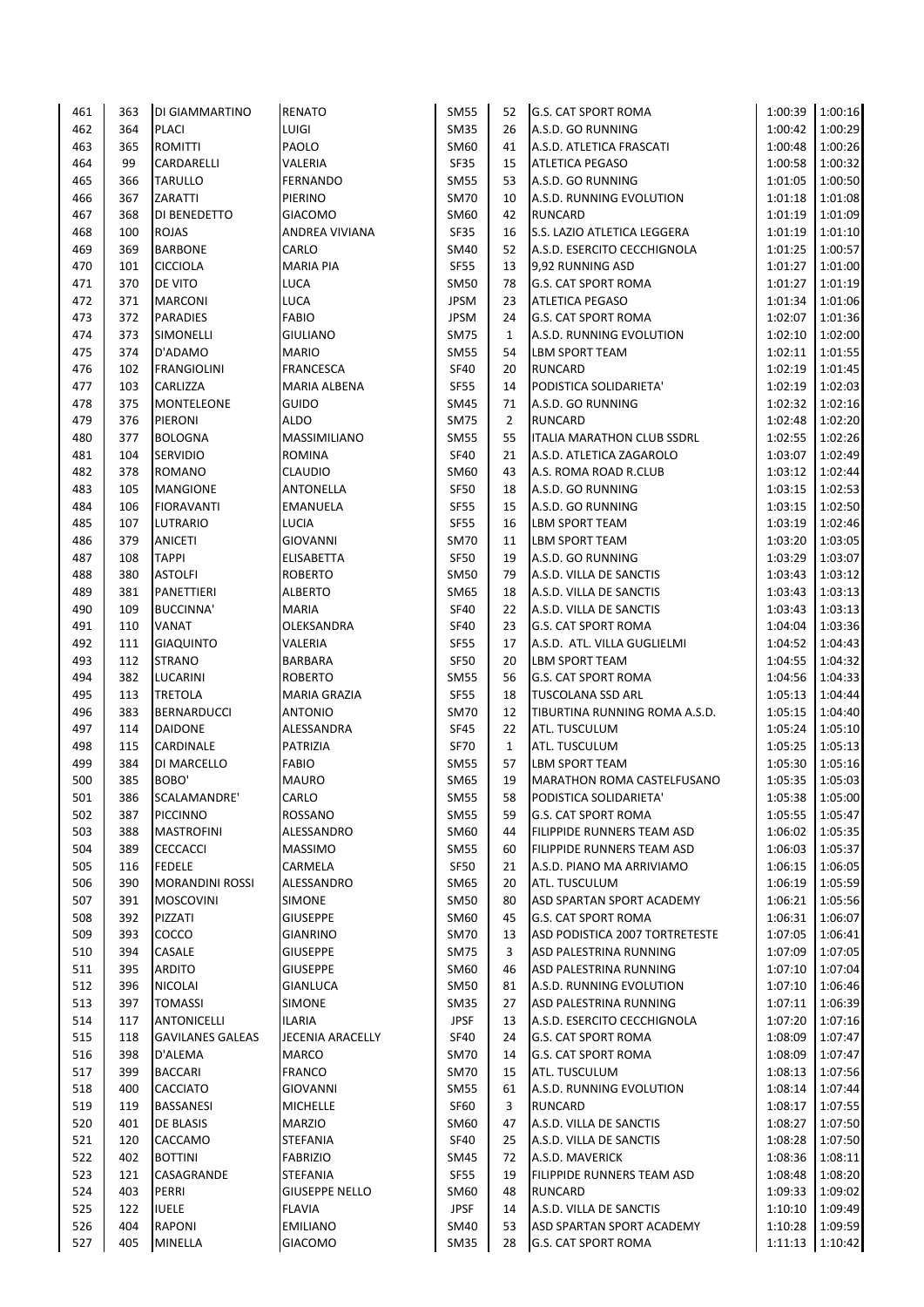| 461 | 363 | DI GIAMMARTINO          | <b>RENATO</b>         | SM55        | 52             | <b>G.S. CAT SPORT ROMA</b>        | 1:00:39 | 1:00:16 |
|-----|-----|-------------------------|-----------------------|-------------|----------------|-----------------------------------|---------|---------|
| 462 | 364 | <b>PLACI</b>            | LUIGI                 | <b>SM35</b> | 26             | A.S.D. GO RUNNING                 | 1:00:42 | 1:00:29 |
| 463 | 365 | ROMITTI                 | PAOLO                 | SM60        | 41             | A.S.D. ATLETICA FRASCATI          | 1:00:48 | 1:00:26 |
| 464 | 99  | CARDARELLI              | VALERIA               | SF35        | 15             | <b>ATLETICA PEGASO</b>            | 1:00:58 | 1:00:32 |
| 465 | 366 | <b>TARULLO</b>          | <b>FERNANDO</b>       | <b>SM55</b> | 53             | A.S.D. GO RUNNING                 | 1:01:05 | 1:00:50 |
| 466 | 367 | ZARATTI                 | PIERINO               | <b>SM70</b> | 10             | A.S.D. RUNNING EVOLUTION          | 1:01:18 | 1:01:08 |
| 467 | 368 | DI BENEDETTO            | <b>GIACOMO</b>        | SM60        | 42             | <b>RUNCARD</b>                    | 1:01:19 | 1:01:09 |
| 468 |     | <b>ROJAS</b>            | ANDREA VIVIANA        | SF35        |                | S.S. LAZIO ATLETICA LEGGERA       | 1:01:19 | 1:01:10 |
|     | 100 |                         |                       |             | 16             |                                   |         |         |
| 469 | 369 | <b>BARBONE</b>          | CARLO                 | SM40        | 52             | A.S.D. ESERCITO CECCHIGNOLA       | 1:01:25 | 1:00:57 |
| 470 | 101 | <b>CICCIOLA</b>         | <b>MARIA PIA</b>      | <b>SF55</b> | 13             | 9,92 RUNNING ASD                  | 1:01:27 | 1:01:00 |
| 471 | 370 | DE VITO                 | <b>LUCA</b>           | SM50        | 78             | G.S. CAT SPORT ROMA               | 1:01:27 | 1:01:19 |
| 472 | 371 | <b>MARCONI</b>          | <b>LUCA</b>           | <b>JPSM</b> | 23             | <b>ATLETICA PEGASO</b>            | 1:01:34 | 1:01:06 |
| 473 | 372 | <b>PARADIES</b>         | <b>FABIO</b>          | <b>JPSM</b> | 24             | <b>G.S. CAT SPORT ROMA</b>        | 1:02:07 | 1:01:36 |
| 474 | 373 | SIMONELLI               | <b>GIULIANO</b>       | <b>SM75</b> | $\mathbf{1}$   | A.S.D. RUNNING EVOLUTION          | 1:02:10 | 1:02:00 |
| 475 | 374 | D'ADAMO                 | <b>MARIO</b>          | <b>SM55</b> | 54             | LBM SPORT TEAM                    | 1:02:11 | 1:01:55 |
| 476 | 102 | <b>FRANGIOLINI</b>      | <b>FRANCESCA</b>      | <b>SF40</b> | 20             | <b>RUNCARD</b>                    | 1:02:19 | 1:01:45 |
| 477 | 103 | CARLIZZA                | <b>MARIA ALBENA</b>   | <b>SF55</b> | 14             | PODISTICA SOLIDARIETA'            | 1:02:19 | 1:02:03 |
| 478 | 375 | MONTELEONE              | <b>GUIDO</b>          | <b>SM45</b> | 71             | A.S.D. GO RUNNING                 | 1:02:32 | 1:02:16 |
| 479 | 376 | PIERONI                 | <b>ALDO</b>           | <b>SM75</b> | $\overline{2}$ | <b>RUNCARD</b>                    | 1:02:48 | 1:02:20 |
|     |     |                         |                       |             |                |                                   |         |         |
| 480 | 377 | <b>BOLOGNA</b>          | MASSIMILIANO          | <b>SM55</b> | 55             | <b>ITALIA MARATHON CLUB SSDRL</b> | 1:02:55 | 1:02:26 |
| 481 | 104 | <b>SERVIDIO</b>         | <b>ROMINA</b>         | <b>SF40</b> | 21             | A.S.D. ATLETICA ZAGAROLO          | 1:03:07 | 1:02:49 |
| 482 | 378 | ROMANO                  | <b>CLAUDIO</b>        | SM60        | 43             | A.S. ROMA ROAD R.CLUB             | 1:03:12 | 1:02:44 |
| 483 | 105 | <b>MANGIONE</b>         | ANTONELLA             | <b>SF50</b> | 18             | A.S.D. GO RUNNING                 | 1:03:15 | 1:02:53 |
| 484 | 106 | <b>FIORAVANTI</b>       | <b>EMANUELA</b>       | <b>SF55</b> | 15             | A.S.D. GO RUNNING                 | 1:03:15 | 1:02:50 |
| 485 | 107 | <b>LUTRARIO</b>         | <b>LUCIA</b>          | <b>SF55</b> | 16             | LBM SPORT TEAM                    | 1:03:19 | 1:02:46 |
| 486 | 379 | <b>ANICETI</b>          | <b>GIOVANNI</b>       | <b>SM70</b> | 11             | LBM SPORT TEAM                    | 1:03:20 | 1:03:05 |
| 487 | 108 | <b>TAPPI</b>            | <b>ELISABETTA</b>     | SF50        | 19             | A.S.D. GO RUNNING                 | 1:03:29 | 1:03:07 |
| 488 | 380 | <b>ASTOLFI</b>          | <b>ROBERTO</b>        | <b>SM50</b> | 79             | A.S.D. VILLA DE SANCTIS           | 1:03:43 | 1:03:12 |
| 489 | 381 | PANETTIERI              | <b>ALBERTO</b>        | SM65        | 18             | A.S.D. VILLA DE SANCTIS           | 1:03:43 | 1:03:13 |
| 490 | 109 | BUCCINNA'               | <b>MARIA</b>          | <b>SF40</b> | 22             | A.S.D. VILLA DE SANCTIS           | 1:03:43 | 1:03:13 |
|     |     |                         |                       |             |                |                                   |         |         |
| 491 | 110 | VANAT                   | OLEKSANDRA            | <b>SF40</b> | 23             | G.S. CAT SPORT ROMA               | 1:04:04 | 1:03:36 |
| 492 | 111 | <b>GIAQUINTO</b>        | VALERIA               | <b>SF55</b> | 17             | A.S.D. ATL. VILLA GUGLIELMI       | 1:04:52 | 1:04:43 |
| 493 | 112 | <b>STRANO</b>           | BARBARA               | <b>SF50</b> | 20             | LBM SPORT TEAM                    | 1:04:55 | 1:04:32 |
| 494 | 382 | LUCARINI                | <b>ROBERTO</b>        | <b>SM55</b> | 56             | G.S. CAT SPORT ROMA               | 1:04:56 | 1:04:33 |
| 495 | 113 | <b>TRETOLA</b>          | <b>MARIA GRAZIA</b>   | <b>SF55</b> | 18             | <b>TUSCOLANA SSD ARL</b>          | 1:05:13 | 1:04:44 |
| 496 | 383 | <b>BERNARDUCCI</b>      | <b>ANTONIO</b>        | <b>SM70</b> | 12             | TIBURTINA RUNNING ROMA A.S.D.     | 1:05:15 | 1:04:40 |
| 497 | 114 | <b>DAIDONE</b>          | ALESSANDRA            | SF45        | 22             | ATL. TUSCULUM                     | 1:05:24 | 1:05:10 |
| 498 | 115 | CARDINALE               | PATRIZIA              | SF70        | $\mathbf{1}$   | ATL. TUSCULUM                     | 1:05:25 | 1:05:13 |
| 499 | 384 | DI MARCELLO             | <b>FABIO</b>          | <b>SM55</b> | 57             | <b>LBM SPORT TEAM</b>             | 1:05:30 | 1:05:16 |
| 500 | 385 | BOBO'                   | <b>MAURO</b>          | SM65        | 19             | <b>MARATHON ROMA CASTELFUSANO</b> | 1:05:35 | 1:05:03 |
| 501 | 386 | SCALAMANDRE'            | CARLO                 | <b>SM55</b> | 58             | PODISTICA SOLIDARIETA'            | 1:05:38 | 1:05:00 |
|     |     |                         |                       |             |                |                                   |         |         |
| 502 | 387 | <b>PICCINNO</b>         | ROSSANO               | <b>SM55</b> | 59             | <b>G.S. CAT SPORT ROMA</b>        | 1:05:55 | 1:05:47 |
| 503 | 388 | <b>MASTROFINI</b>       | ALESSANDRO            | SM60        | 44             | FILIPPIDE RUNNERS TEAM ASD        | 1:06:02 | 1:05:35 |
| 504 | 389 | <b>CECCACCI</b>         | <b>MASSIMO</b>        | <b>SM55</b> | 60             | FILIPPIDE RUNNERS TEAM ASD        | 1:06:03 | 1:05:37 |
| 505 | 116 | <b>FEDELE</b>           | CARMELA               | SF50        | 21             | A.S.D. PIANO MA ARRIVIAMO         | 1:06:15 | 1:06:05 |
| 506 | 390 | <b>MORANDINI ROSSI</b>  | ALESSANDRO            | SM65        | 20             | ATL. TUSCULUM                     | 1:06:19 | 1:05:59 |
| 507 | 391 | <b>MOSCOVINI</b>        | SIMONE                | <b>SM50</b> | 80             | ASD SPARTAN SPORT ACADEMY         | 1:06:21 | 1:05:56 |
| 508 | 392 | PIZZATI                 | <b>GIUSEPPE</b>       | SM60        | 45             | <b>G.S. CAT SPORT ROMA</b>        | 1:06:31 | 1:06:07 |
| 509 | 393 | COCCO                   | <b>GIANRINO</b>       | <b>SM70</b> | 13             | ASD PODISTICA 2007 TORTRETESTE    | 1:07:05 | 1:06:41 |
| 510 | 394 | CASALE                  | <b>GIUSEPPE</b>       | <b>SM75</b> | 3              | ASD PALESTRINA RUNNING            | 1:07:09 | 1:07:05 |
| 511 | 395 | ARDITO                  | <b>GIUSEPPE</b>       | SM60        | 46             | <b>ASD PALESTRINA RUNNING</b>     | 1:07:10 | 1:07:04 |
|     | 396 | <b>NICOLAI</b>          | <b>GIANLUCA</b>       | <b>SM50</b> | 81             |                                   | 1:07:10 |         |
| 512 |     |                         |                       |             |                | A.S.D. RUNNING EVOLUTION          |         | 1:06:46 |
| 513 | 397 | <b>TOMASSI</b>          | <b>SIMONE</b>         | SM35        | 27             | ASD PALESTRINA RUNNING            | 1:07:11 | 1:06:39 |
| 514 | 117 | ANTONICELLI             | ILARIA                | <b>JPSF</b> | 13             | A.S.D. ESERCITO CECCHIGNOLA       | 1:07:20 | 1:07:16 |
| 515 | 118 | <b>GAVILANES GALEAS</b> | JECENIA ARACELLY      | <b>SF40</b> | 24             | G.S. CAT SPORT ROMA               | 1:08:09 | 1:07:47 |
| 516 | 398 | D'ALEMA                 | <b>MARCO</b>          | <b>SM70</b> | 14             | <b>G.S. CAT SPORT ROMA</b>        | 1:08:09 | 1:07:47 |
| 517 | 399 | <b>BACCARI</b>          | <b>FRANCO</b>         | <b>SM70</b> | 15             | <b>ATL. TUSCULUM</b>              | 1:08:13 | 1:07:56 |
| 518 | 400 | <b>CACCIATO</b>         | GIOVANNI              | <b>SM55</b> | 61             | A.S.D. RUNNING EVOLUTION          | 1:08:14 | 1:07:44 |
| 519 | 119 | <b>BASSANESI</b>        | <b>MICHELLE</b>       | SF60        | 3              | <b>RUNCARD</b>                    | 1:08:17 | 1:07:55 |
| 520 | 401 | DE BLASIS               | <b>MARZIO</b>         | SM60        | 47             | A.S.D. VILLA DE SANCTIS           | 1:08:27 | 1:07:50 |
| 521 | 120 | CACCAMO                 | STEFANIA              | <b>SF40</b> | 25             | A.S.D. VILLA DE SANCTIS           | 1:08:28 | 1:07:50 |
| 522 | 402 | <b>BOTTINI</b>          | <b>FABRIZIO</b>       | SM45        | 72             | A.S.D. MAVERICK                   | 1:08:36 | 1:08:11 |
| 523 | 121 |                         |                       |             | 19             |                                   | 1:08:48 |         |
|     |     | CASAGRANDE              | STEFANIA              | SF55        |                | FILIPPIDE RUNNERS TEAM ASD        |         | 1:08:20 |
| 524 | 403 | PERRI                   | <b>GIUSEPPE NELLO</b> | SM60        | 48             | <b>RUNCARD</b>                    | 1:09:33 | 1:09:02 |
| 525 | 122 | <b>IUELE</b>            | <b>FLAVIA</b>         | <b>JPSF</b> | 14             | A.S.D. VILLA DE SANCTIS           | 1:10:10 | 1:09:49 |
| 526 | 404 | RAPONI                  | <b>EMILIANO</b>       | SM40        | 53             | <b>ASD SPARTAN SPORT ACADEMY</b>  | 1:10:28 | 1:09:59 |
| 527 | 405 | <b>MINELLA</b>          | GIACOMO               | SM35        | 28             | <b>G.S. CAT SPORT ROMA</b>        | 1:11:13 | 1:10:42 |